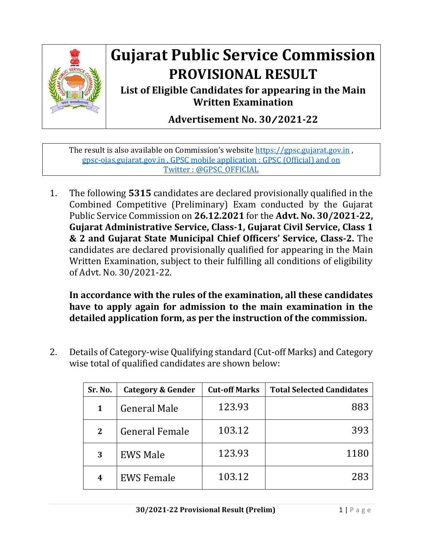

## **Gujarat Public Service Commission PROVISIONAL RESULT**

**List of Eligible Candidates for appearing in the Main Written Examination**

**Advertisement No. 30**/**2021-22**

The result is also available on Commission's website [https://gpsc.gujarat.gov.in](https://gpsc.gujarat.gov.in/) , gpsc-ojas.gujarat.gov.in , GPSC mobile application : GPSC (Official) and on Twitter : @GPSC\_OFFICIAL

1. The following **5315** candidates are declared provisionally qualified in the Combined Competitive (Preliminary) Exam conducted by the Gujarat Public Service Commission on **26.12.2021** for the **Advt. No. 30/2021-22, Gujarat Administrative Service, Class-1, Gujarat Civil Service, Class 1 & 2 and Gujarat State Municipal Chief Officers' Service, Class-2.** The candidates are declared provisionally qualified for appearing in the Main Written Examination, subject to their fulfilling all conditions of eligibility of Advt. No. 30/2021-22.

**In accordance with the rules of the examination, all these candidates have to apply again for admission to the main examination in the detailed application form, as per the instruction of the commission.** 

2. Details of Category-wise Qualifying standard (Cut-off Marks) and Category wise total of qualified candidates are shown below:

| Sr. No.      | Category & Gender     | <b>Cut-off Marks</b> | <b>Total Selected Candidates</b> |
|--------------|-----------------------|----------------------|----------------------------------|
| 1            | <b>General Male</b>   | 123.93               | 883                              |
| $\mathbf{2}$ | <b>General Female</b> | 103.12               | 393                              |
| 3            | <b>EWS Male</b>       | 123.93               | 1180                             |
| 4            | <b>EWS Female</b>     | 103.12               | 283                              |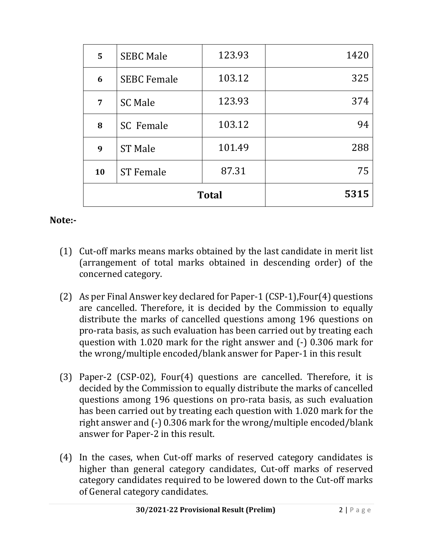| <b>Total</b> |                    |        | 5315 |
|--------------|--------------------|--------|------|
| 10           | <b>ST Female</b>   | 87.31  | 75   |
| 9            | <b>ST Male</b>     | 101.49 | 288  |
| 8            | <b>SC</b> Female   | 103.12 | 94   |
| 7            | <b>SC Male</b>     | 123.93 | 374  |
| 6            | <b>SEBC Female</b> | 103.12 | 325  |
| 5            | <b>SEBC Male</b>   | 123.93 | 1420 |

## **Note:-**

- (1) Cut-off marks means marks obtained by the last candidate in merit list (arrangement of total marks obtained in descending order) of the concerned category.
- (2) As per Final Answer key declared for Paper-1 (CSP-1),Four(4) questions are cancelled. Therefore, it is decided by the Commission to equally distribute the marks of cancelled questions among 196 questions on pro-rata basis, as such evaluation has been carried out by treating each question with 1.020 mark for the right answer and (-) 0.306 mark for the wrong/multiple encoded/blank answer for Paper-1 in this result
- (3) Paper-2 (CSP-02), Four(4) questions are cancelled. Therefore, it is decided by the Commission to equally distribute the marks of cancelled questions among 196 questions on pro-rata basis, as such evaluation has been carried out by treating each question with 1.020 mark for the right answer and (-) 0.306 mark for the wrong/multiple encoded/blank answer for Paper-2 in this result.
- (4) In the cases, when Cut-off marks of reserved category candidates is higher than general category candidates, Cut-off marks of reserved category candidates required to be lowered down to the Cut-off marks of General category candidates.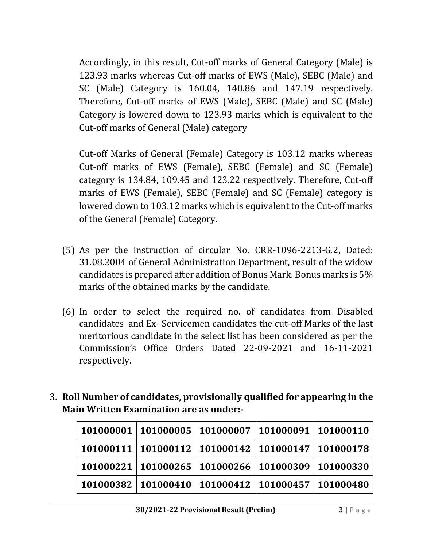Accordingly, in this result, Cut-off marks of General Category (Male) is 123.93 marks whereas Cut-off marks of EWS (Male), SEBC (Male) and SC (Male) Category is 160.04, 140.86 and 147.19 respectively. Therefore, Cut-off marks of EWS (Male), SEBC (Male) and SC (Male) Category is lowered down to 123.93 marks which is equivalent to the Cut-off marks of General (Male) category

Cut-off Marks of General (Female) Category is 103.12 marks whereas Cut-off marks of EWS (Female), SEBC (Female) and SC (Female) category is 134.84, 109.45 and 123.22 respectively. Therefore, Cut-off marks of EWS (Female), SEBC (Female) and SC (Female) category is lowered down to 103.12 marks which is equivalent to the Cut-off marks of the General (Female) Category.

- (5) As per the instruction of circular No. CRR-1096-2213-G.2, Dated: 31.08.2004 of General Administration Department, result of the widow candidates is prepared after addition of Bonus Mark. Bonus marks is 5% marks of the obtained marks by the candidate.
- (6) In order to select the required no. of candidates from Disabled candidates and Ex- Servicemen candidates the cut-off Marks of the last meritorious candidate in the select list has been considered as per the Commission's Office Orders Dated 22-09-2021 and 16-11-2021 respectively.
- 3. **Roll Number of candidates, provisionally qualified for appearing in the Main Written Examination are as under:-**

|                                                                                      | $\mid$ 101000001 $\mid$ 101000005 $\mid$ 101000007 $\mid$ 101000091 $\mid$ 101000110 |  |
|--------------------------------------------------------------------------------------|--------------------------------------------------------------------------------------|--|
|                                                                                      | $\mid$ 101000111 $\mid$ 101000112 $\mid$ 101000142 $\mid$ 101000147 $\mid$ 101000178 |  |
| $\mid$ 101000221 $\mid$ 101000265 $\mid$ 101000266 $\mid$ 101000309 $\mid$ 101000330 |                                                                                      |  |
| $\mid$ 101000382 $\mid$ 101000410 $\mid$ 101000412 $\mid$ 101000457 $\mid$ 101000480 |                                                                                      |  |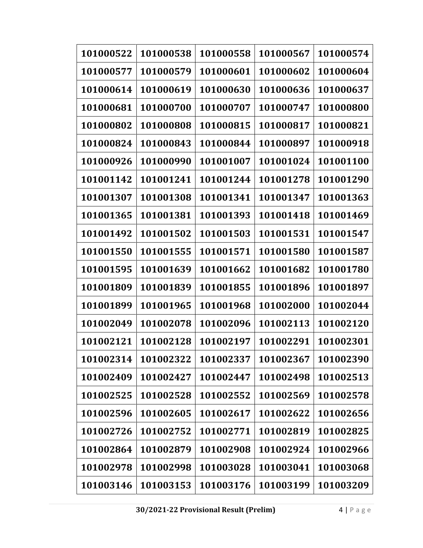| 101000522 | 101000538 | 101000558 | 101000567 | 101000574 |
|-----------|-----------|-----------|-----------|-----------|
| 101000577 | 101000579 | 101000601 | 101000602 | 101000604 |
| 101000614 | 101000619 | 101000630 | 101000636 | 101000637 |
| 101000681 | 101000700 | 101000707 | 101000747 | 101000800 |
| 101000802 | 101000808 | 101000815 | 101000817 | 101000821 |
| 101000824 | 101000843 | 101000844 | 101000897 | 101000918 |
| 101000926 | 101000990 | 101001007 | 101001024 | 101001100 |
| 101001142 | 101001241 | 101001244 | 101001278 | 101001290 |
| 101001307 | 101001308 | 101001341 | 101001347 | 101001363 |
| 101001365 | 101001381 | 101001393 | 101001418 | 101001469 |
| 101001492 | 101001502 | 101001503 | 101001531 | 101001547 |
| 101001550 | 101001555 | 101001571 | 101001580 | 101001587 |
| 101001595 | 101001639 | 101001662 | 101001682 | 101001780 |
| 101001809 | 101001839 | 101001855 | 101001896 | 101001897 |
| 101001899 | 101001965 | 101001968 | 101002000 | 101002044 |
| 101002049 | 101002078 | 101002096 | 101002113 | 101002120 |
| 101002121 | 101002128 | 101002197 | 101002291 | 101002301 |
| 101002314 | 101002322 | 101002337 | 101002367 | 101002390 |
| 101002409 | 101002427 | 101002447 | 101002498 | 101002513 |
| 101002525 | 101002528 | 101002552 | 101002569 | 101002578 |
| 101002596 | 101002605 | 101002617 | 101002622 | 101002656 |
| 101002726 | 101002752 | 101002771 | 101002819 | 101002825 |
| 101002864 | 101002879 | 101002908 | 101002924 | 101002966 |
| 101002978 | 101002998 | 101003028 | 101003041 | 101003068 |
| 101003146 | 101003153 | 101003176 | 101003199 | 101003209 |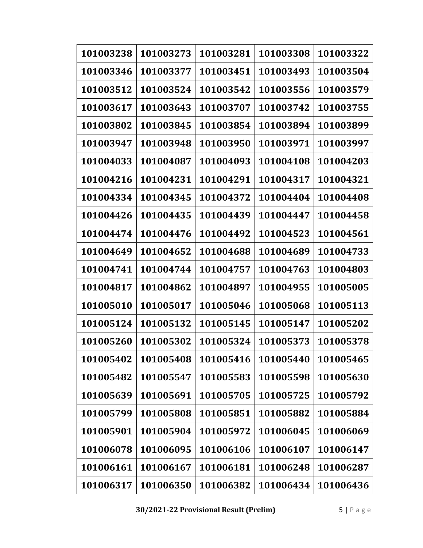| 101003238 | 101003273 | 101003281 | 101003308 | 101003322 |
|-----------|-----------|-----------|-----------|-----------|
| 101003346 | 101003377 | 101003451 | 101003493 | 101003504 |
| 101003512 | 101003524 | 101003542 | 101003556 | 101003579 |
| 101003617 | 101003643 | 101003707 | 101003742 | 101003755 |
| 101003802 | 101003845 | 101003854 | 101003894 | 101003899 |
| 101003947 | 101003948 | 101003950 | 101003971 | 101003997 |
| 101004033 | 101004087 | 101004093 | 101004108 | 101004203 |
| 101004216 | 101004231 | 101004291 | 101004317 | 101004321 |
| 101004334 | 101004345 | 101004372 | 101004404 | 101004408 |
| 101004426 | 101004435 | 101004439 | 101004447 | 101004458 |
| 101004474 | 101004476 | 101004492 | 101004523 | 101004561 |
| 101004649 | 101004652 | 101004688 | 101004689 | 101004733 |
| 101004741 | 101004744 | 101004757 | 101004763 | 101004803 |
| 101004817 | 101004862 | 101004897 | 101004955 | 101005005 |
| 101005010 | 101005017 | 101005046 | 101005068 | 101005113 |
| 101005124 | 101005132 | 101005145 | 101005147 | 101005202 |
| 101005260 | 101005302 | 101005324 | 101005373 | 101005378 |
| 101005402 | 101005408 | 101005416 | 101005440 | 101005465 |
| 101005482 | 101005547 | 101005583 | 101005598 | 101005630 |
| 101005639 | 101005691 | 101005705 | 101005725 | 101005792 |
| 101005799 | 101005808 | 101005851 | 101005882 | 101005884 |
| 101005901 | 101005904 | 101005972 | 101006045 | 101006069 |
| 101006078 | 101006095 | 101006106 | 101006107 | 101006147 |
| 101006161 | 101006167 | 101006181 | 101006248 | 101006287 |
| 101006317 | 101006350 | 101006382 | 101006434 | 101006436 |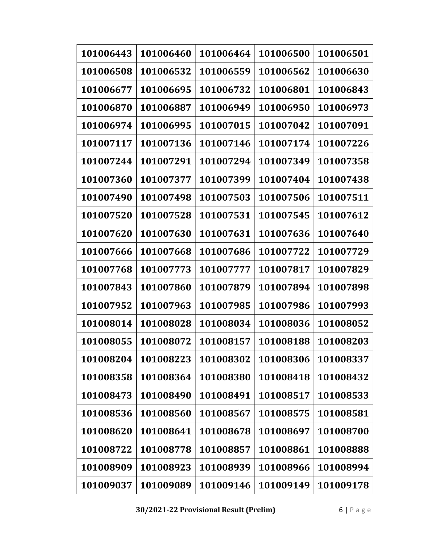| 101006443 | 101006460 | 101006464 | 101006500 | 101006501 |
|-----------|-----------|-----------|-----------|-----------|
| 101006508 | 101006532 | 101006559 | 101006562 | 101006630 |
| 101006677 | 101006695 | 101006732 | 101006801 | 101006843 |
| 101006870 | 101006887 | 101006949 | 101006950 | 101006973 |
| 101006974 | 101006995 | 101007015 | 101007042 | 101007091 |
| 101007117 | 101007136 | 101007146 | 101007174 | 101007226 |
| 101007244 | 101007291 | 101007294 | 101007349 | 101007358 |
| 101007360 | 101007377 | 101007399 | 101007404 | 101007438 |
| 101007490 | 101007498 | 101007503 | 101007506 | 101007511 |
| 101007520 | 101007528 | 101007531 | 101007545 | 101007612 |
| 101007620 | 101007630 | 101007631 | 101007636 | 101007640 |
| 101007666 | 101007668 | 101007686 | 101007722 | 101007729 |
| 101007768 | 101007773 | 101007777 | 101007817 | 101007829 |
| 101007843 | 101007860 | 101007879 | 101007894 | 101007898 |
| 101007952 | 101007963 | 101007985 | 101007986 | 101007993 |
| 101008014 | 101008028 | 101008034 | 101008036 | 101008052 |
| 101008055 | 101008072 | 101008157 | 101008188 | 101008203 |
| 101008204 | 101008223 | 101008302 | 101008306 | 101008337 |
| 101008358 | 101008364 | 101008380 | 101008418 | 101008432 |
| 101008473 | 101008490 | 101008491 | 101008517 | 101008533 |
| 101008536 | 101008560 | 101008567 | 101008575 | 101008581 |
| 101008620 | 101008641 | 101008678 | 101008697 | 101008700 |
| 101008722 | 101008778 | 101008857 | 101008861 | 101008888 |
| 101008909 | 101008923 | 101008939 | 101008966 | 101008994 |
| 101009037 | 101009089 | 101009146 | 101009149 | 101009178 |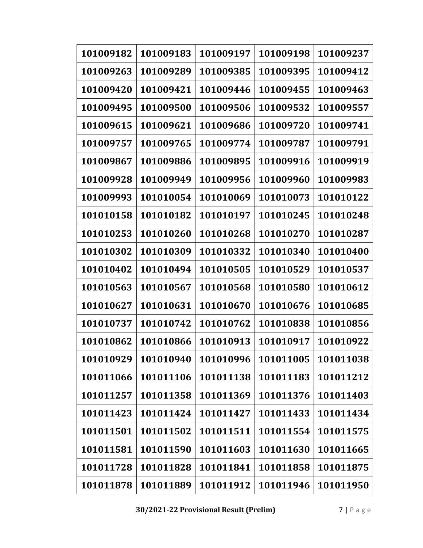| 101009182 | 101009183 | 101009197 | 101009198 | 101009237 |
|-----------|-----------|-----------|-----------|-----------|
| 101009263 | 101009289 | 101009385 | 101009395 | 101009412 |
| 101009420 | 101009421 | 101009446 | 101009455 | 101009463 |
| 101009495 | 101009500 | 101009506 | 101009532 | 101009557 |
| 101009615 | 101009621 | 101009686 | 101009720 | 101009741 |
| 101009757 | 101009765 | 101009774 | 101009787 | 101009791 |
| 101009867 | 101009886 | 101009895 | 101009916 | 101009919 |
| 101009928 | 101009949 | 101009956 | 101009960 | 101009983 |
| 101009993 | 101010054 | 101010069 | 101010073 | 101010122 |
| 101010158 | 101010182 | 101010197 | 101010245 | 101010248 |
| 101010253 | 101010260 | 101010268 | 101010270 | 101010287 |
| 101010302 | 101010309 | 101010332 | 101010340 | 101010400 |
| 101010402 | 101010494 | 101010505 | 101010529 | 101010537 |
| 101010563 | 101010567 | 101010568 | 101010580 | 101010612 |
| 101010627 | 101010631 | 101010670 | 101010676 | 101010685 |
| 101010737 | 101010742 | 101010762 | 101010838 | 101010856 |
| 101010862 | 101010866 | 101010913 | 101010917 | 101010922 |
| 101010929 | 101010940 | 101010996 | 101011005 | 101011038 |
| 101011066 | 101011106 | 101011138 | 101011183 | 101011212 |
| 101011257 | 101011358 | 101011369 | 101011376 | 101011403 |
| 101011423 | 101011424 | 101011427 | 101011433 | 101011434 |
| 101011501 | 101011502 | 101011511 | 101011554 | 101011575 |
| 101011581 | 101011590 | 101011603 | 101011630 | 101011665 |
| 101011728 | 101011828 | 101011841 | 101011858 | 101011875 |
| 101011878 | 101011889 | 101011912 | 101011946 | 101011950 |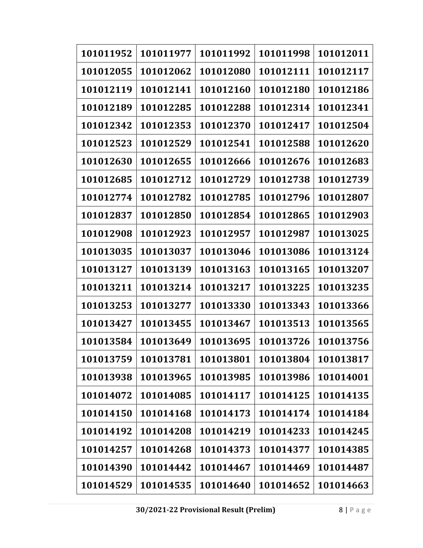| 101011952 | 101011977 | 101011992 | 101011998 | 101012011 |
|-----------|-----------|-----------|-----------|-----------|
| 101012055 | 101012062 | 101012080 | 101012111 | 101012117 |
| 101012119 | 101012141 | 101012160 | 101012180 | 101012186 |
| 101012189 | 101012285 | 101012288 | 101012314 | 101012341 |
| 101012342 | 101012353 | 101012370 | 101012417 | 101012504 |
| 101012523 | 101012529 | 101012541 | 101012588 | 101012620 |
| 101012630 | 101012655 | 101012666 | 101012676 | 101012683 |
| 101012685 | 101012712 | 101012729 | 101012738 | 101012739 |
| 101012774 | 101012782 | 101012785 | 101012796 | 101012807 |
| 101012837 | 101012850 | 101012854 | 101012865 | 101012903 |
| 101012908 | 101012923 | 101012957 | 101012987 | 101013025 |
| 101013035 | 101013037 | 101013046 | 101013086 | 101013124 |
| 101013127 | 101013139 | 101013163 | 101013165 | 101013207 |
| 101013211 | 101013214 | 101013217 | 101013225 | 101013235 |
| 101013253 | 101013277 | 101013330 | 101013343 | 101013366 |
| 101013427 | 101013455 | 101013467 | 101013513 | 101013565 |
| 101013584 | 101013649 | 101013695 | 101013726 | 101013756 |
| 101013759 | 101013781 | 101013801 | 101013804 | 101013817 |
| 101013938 | 101013965 | 101013985 | 101013986 | 101014001 |
| 101014072 | 101014085 | 101014117 | 101014125 | 101014135 |
| 101014150 | 101014168 | 101014173 | 101014174 | 101014184 |
| 101014192 | 101014208 | 101014219 | 101014233 | 101014245 |
| 101014257 | 101014268 | 101014373 | 101014377 | 101014385 |
| 101014390 | 101014442 | 101014467 | 101014469 | 101014487 |
| 101014529 | 101014535 | 101014640 | 101014652 | 101014663 |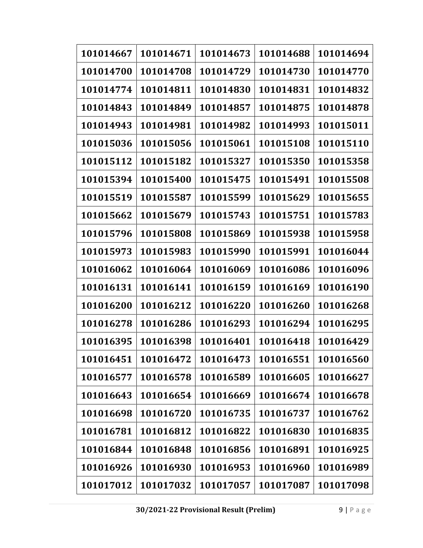| 101014667 | 101014671 | 101014673 | 101014688 | 101014694 |
|-----------|-----------|-----------|-----------|-----------|
| 101014700 | 101014708 | 101014729 | 101014730 | 101014770 |
| 101014774 | 101014811 | 101014830 | 101014831 | 101014832 |
| 101014843 | 101014849 | 101014857 | 101014875 | 101014878 |
| 101014943 | 101014981 | 101014982 | 101014993 | 101015011 |
| 101015036 | 101015056 | 101015061 | 101015108 | 101015110 |
| 101015112 | 101015182 | 101015327 | 101015350 | 101015358 |
| 101015394 | 101015400 | 101015475 | 101015491 | 101015508 |
| 101015519 | 101015587 | 101015599 | 101015629 | 101015655 |
| 101015662 | 101015679 | 101015743 | 101015751 | 101015783 |
| 101015796 | 101015808 | 101015869 | 101015938 | 101015958 |
| 101015973 | 101015983 | 101015990 | 101015991 | 101016044 |
| 101016062 | 101016064 | 101016069 | 101016086 | 101016096 |
| 101016131 | 101016141 | 101016159 | 101016169 | 101016190 |
| 101016200 | 101016212 | 101016220 | 101016260 | 101016268 |
| 101016278 | 101016286 | 101016293 | 101016294 | 101016295 |
| 101016395 | 101016398 | 101016401 | 101016418 | 101016429 |
| 101016451 | 101016472 | 101016473 | 101016551 | 101016560 |
| 101016577 | 101016578 | 101016589 | 101016605 | 101016627 |
| 101016643 | 101016654 | 101016669 | 101016674 | 101016678 |
| 101016698 | 101016720 | 101016735 | 101016737 | 101016762 |
| 101016781 | 101016812 | 101016822 | 101016830 | 101016835 |
| 101016844 | 101016848 | 101016856 | 101016891 | 101016925 |
| 101016926 | 101016930 | 101016953 | 101016960 | 101016989 |
| 101017012 | 101017032 | 101017057 | 101017087 | 101017098 |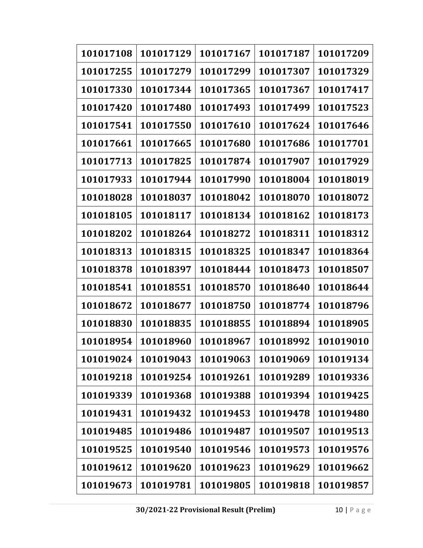| 101017108 | 101017129 | 101017167 | 101017187 | 101017209 |
|-----------|-----------|-----------|-----------|-----------|
| 101017255 | 101017279 | 101017299 | 101017307 | 101017329 |
| 101017330 | 101017344 | 101017365 | 101017367 | 101017417 |
| 101017420 | 101017480 | 101017493 | 101017499 | 101017523 |
| 101017541 | 101017550 | 101017610 | 101017624 | 101017646 |
| 101017661 | 101017665 | 101017680 | 101017686 | 101017701 |
| 101017713 | 101017825 | 101017874 | 101017907 | 101017929 |
| 101017933 | 101017944 | 101017990 | 101018004 | 101018019 |
| 101018028 | 101018037 | 101018042 | 101018070 | 101018072 |
| 101018105 | 101018117 | 101018134 | 101018162 | 101018173 |
| 101018202 | 101018264 | 101018272 | 101018311 | 101018312 |
| 101018313 | 101018315 | 101018325 | 101018347 | 101018364 |
| 101018378 | 101018397 | 101018444 | 101018473 | 101018507 |
| 101018541 | 101018551 | 101018570 | 101018640 | 101018644 |
| 101018672 | 101018677 | 101018750 | 101018774 | 101018796 |
| 101018830 | 101018835 | 101018855 | 101018894 | 101018905 |
| 101018954 | 101018960 | 101018967 | 101018992 | 101019010 |
| 101019024 | 101019043 | 101019063 | 101019069 | 101019134 |
| 101019218 | 101019254 | 101019261 | 101019289 | 101019336 |
| 101019339 | 101019368 | 101019388 | 101019394 | 101019425 |
| 101019431 | 101019432 | 101019453 | 101019478 | 101019480 |
| 101019485 | 101019486 | 101019487 | 101019507 | 101019513 |
| 101019525 | 101019540 | 101019546 | 101019573 | 101019576 |
| 101019612 | 101019620 | 101019623 | 101019629 | 101019662 |
| 101019673 | 101019781 | 101019805 | 101019818 | 101019857 |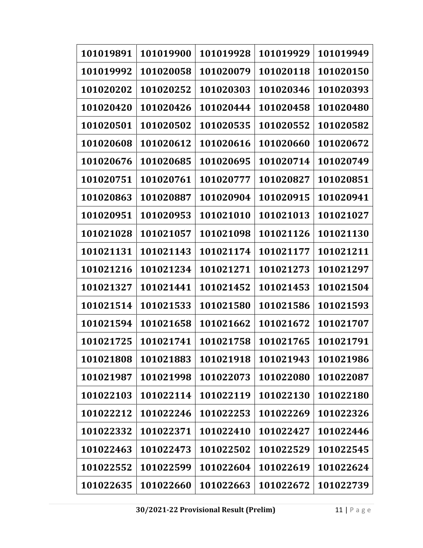| 101019891 | 101019900 | 101019928 | 101019929 | 101019949 |
|-----------|-----------|-----------|-----------|-----------|
| 101019992 | 101020058 | 101020079 | 101020118 | 101020150 |
| 101020202 | 101020252 | 101020303 | 101020346 | 101020393 |
| 101020420 | 101020426 | 101020444 | 101020458 | 101020480 |
| 101020501 | 101020502 | 101020535 | 101020552 | 101020582 |
| 101020608 | 101020612 | 101020616 | 101020660 | 101020672 |
| 101020676 | 101020685 | 101020695 | 101020714 | 101020749 |
| 101020751 | 101020761 | 101020777 | 101020827 | 101020851 |
| 101020863 | 101020887 | 101020904 | 101020915 | 101020941 |
| 101020951 | 101020953 | 101021010 | 101021013 | 101021027 |
| 101021028 | 101021057 | 101021098 | 101021126 | 101021130 |
| 101021131 | 101021143 | 101021174 | 101021177 | 101021211 |
| 101021216 | 101021234 | 101021271 | 101021273 | 101021297 |
| 101021327 | 101021441 | 101021452 | 101021453 | 101021504 |
| 101021514 | 101021533 | 101021580 | 101021586 | 101021593 |
| 101021594 | 101021658 | 101021662 | 101021672 | 101021707 |
| 101021725 | 101021741 | 101021758 | 101021765 | 101021791 |
| 101021808 | 101021883 | 101021918 | 101021943 | 101021986 |
| 101021987 | 101021998 | 101022073 | 101022080 | 101022087 |
| 101022103 | 101022114 | 101022119 | 101022130 | 101022180 |
| 101022212 | 101022246 | 101022253 | 101022269 | 101022326 |
| 101022332 | 101022371 | 101022410 | 101022427 | 101022446 |
| 101022463 | 101022473 | 101022502 | 101022529 | 101022545 |
| 101022552 | 101022599 | 101022604 | 101022619 | 101022624 |
| 101022635 | 101022660 | 101022663 | 101022672 | 101022739 |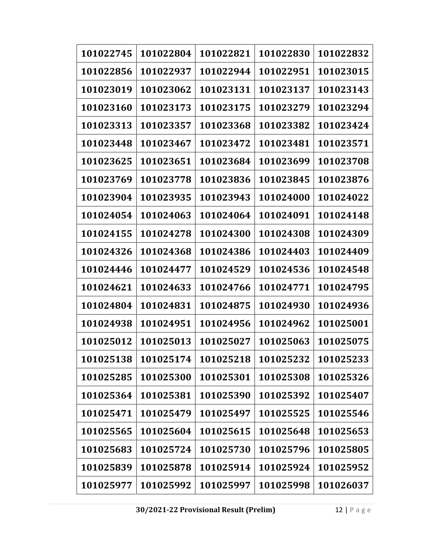| 101022745 | 101022804 | 101022821 | 101022830 | 101022832 |
|-----------|-----------|-----------|-----------|-----------|
| 101022856 | 101022937 | 101022944 | 101022951 | 101023015 |
| 101023019 | 101023062 | 101023131 | 101023137 | 101023143 |
| 101023160 | 101023173 | 101023175 | 101023279 | 101023294 |
| 101023313 | 101023357 | 101023368 | 101023382 | 101023424 |
| 101023448 | 101023467 | 101023472 | 101023481 | 101023571 |
| 101023625 | 101023651 | 101023684 | 101023699 | 101023708 |
| 101023769 | 101023778 | 101023836 | 101023845 | 101023876 |
| 101023904 | 101023935 | 101023943 | 101024000 | 101024022 |
| 101024054 | 101024063 | 101024064 | 101024091 | 101024148 |
| 101024155 | 101024278 | 101024300 | 101024308 | 101024309 |
| 101024326 | 101024368 | 101024386 | 101024403 | 101024409 |
| 101024446 | 101024477 | 101024529 | 101024536 | 101024548 |
| 101024621 | 101024633 | 101024766 | 101024771 | 101024795 |
| 101024804 | 101024831 | 101024875 | 101024930 | 101024936 |
| 101024938 | 101024951 | 101024956 | 101024962 | 101025001 |
| 101025012 | 101025013 | 101025027 | 101025063 | 101025075 |
| 101025138 | 101025174 | 101025218 | 101025232 | 101025233 |
| 101025285 | 101025300 | 101025301 | 101025308 | 101025326 |
| 101025364 | 101025381 | 101025390 | 101025392 | 101025407 |
| 101025471 | 101025479 | 101025497 | 101025525 | 101025546 |
| 101025565 | 101025604 | 101025615 | 101025648 | 101025653 |
| 101025683 | 101025724 | 101025730 | 101025796 | 101025805 |
| 101025839 | 101025878 | 101025914 | 101025924 | 101025952 |
| 101025977 | 101025992 | 101025997 | 101025998 | 101026037 |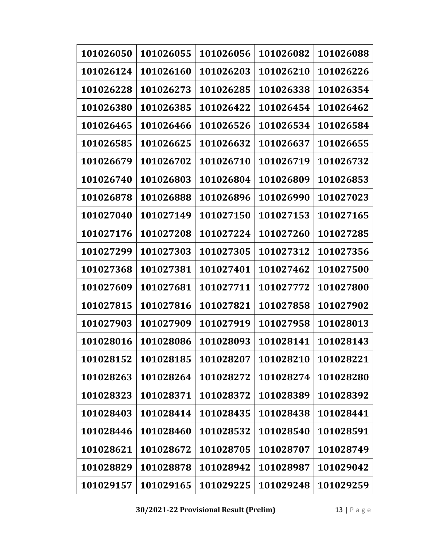| 101026050 | 101026055 | 101026056 | 101026082 | 101026088 |
|-----------|-----------|-----------|-----------|-----------|
| 101026124 | 101026160 | 101026203 | 101026210 | 101026226 |
| 101026228 | 101026273 | 101026285 | 101026338 | 101026354 |
| 101026380 | 101026385 | 101026422 | 101026454 | 101026462 |
| 101026465 | 101026466 | 101026526 | 101026534 | 101026584 |
| 101026585 | 101026625 | 101026632 | 101026637 | 101026655 |
| 101026679 | 101026702 | 101026710 | 101026719 | 101026732 |
| 101026740 | 101026803 | 101026804 | 101026809 | 101026853 |
| 101026878 | 101026888 | 101026896 | 101026990 | 101027023 |
| 101027040 | 101027149 | 101027150 | 101027153 | 101027165 |
| 101027176 | 101027208 | 101027224 | 101027260 | 101027285 |
| 101027299 | 101027303 | 101027305 | 101027312 | 101027356 |
| 101027368 | 101027381 | 101027401 | 101027462 | 101027500 |
| 101027609 | 101027681 | 101027711 | 101027772 | 101027800 |
| 101027815 | 101027816 | 101027821 | 101027858 | 101027902 |
| 101027903 | 101027909 | 101027919 | 101027958 | 101028013 |
| 101028016 | 101028086 | 101028093 | 101028141 | 101028143 |
| 101028152 | 101028185 | 101028207 | 101028210 | 101028221 |
| 101028263 | 101028264 | 101028272 | 101028274 | 101028280 |
| 101028323 | 101028371 | 101028372 | 101028389 | 101028392 |
| 101028403 | 101028414 | 101028435 | 101028438 | 101028441 |
| 101028446 | 101028460 | 101028532 | 101028540 | 101028591 |
| 101028621 | 101028672 | 101028705 | 101028707 | 101028749 |
| 101028829 | 101028878 | 101028942 | 101028987 | 101029042 |
| 101029157 | 101029165 | 101029225 | 101029248 | 101029259 |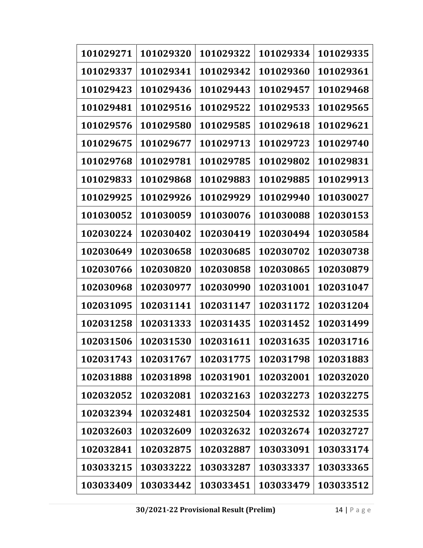| 101029271 | 101029320 | 101029322 | 101029334 | 101029335 |
|-----------|-----------|-----------|-----------|-----------|
| 101029337 | 101029341 | 101029342 | 101029360 | 101029361 |
| 101029423 | 101029436 | 101029443 | 101029457 | 101029468 |
| 101029481 | 101029516 | 101029522 | 101029533 | 101029565 |
| 101029576 | 101029580 | 101029585 | 101029618 | 101029621 |
| 101029675 | 101029677 | 101029713 | 101029723 | 101029740 |
| 101029768 | 101029781 | 101029785 | 101029802 | 101029831 |
| 101029833 | 101029868 | 101029883 | 101029885 | 101029913 |
| 101029925 | 101029926 | 101029929 | 101029940 | 101030027 |
| 101030052 | 101030059 | 101030076 | 101030088 | 102030153 |
| 102030224 | 102030402 | 102030419 | 102030494 | 102030584 |
| 102030649 | 102030658 | 102030685 | 102030702 | 102030738 |
| 102030766 | 102030820 | 102030858 | 102030865 | 102030879 |
| 102030968 | 102030977 | 102030990 | 102031001 | 102031047 |
| 102031095 | 102031141 | 102031147 | 102031172 | 102031204 |
| 102031258 | 102031333 | 102031435 | 102031452 | 102031499 |
| 102031506 | 102031530 | 102031611 | 102031635 | 102031716 |
| 102031743 | 102031767 | 102031775 | 102031798 | 102031883 |
| 102031888 | 102031898 | 102031901 | 102032001 | 102032020 |
| 102032052 | 102032081 | 102032163 | 102032273 | 102032275 |
| 102032394 | 102032481 | 102032504 | 102032532 | 102032535 |
| 102032603 | 102032609 | 102032632 | 102032674 | 102032727 |
| 102032841 | 102032875 | 102032887 | 103033091 | 103033174 |
| 103033215 | 103033222 | 103033287 | 103033337 | 103033365 |
| 103033409 | 103033442 | 103033451 | 103033479 | 103033512 |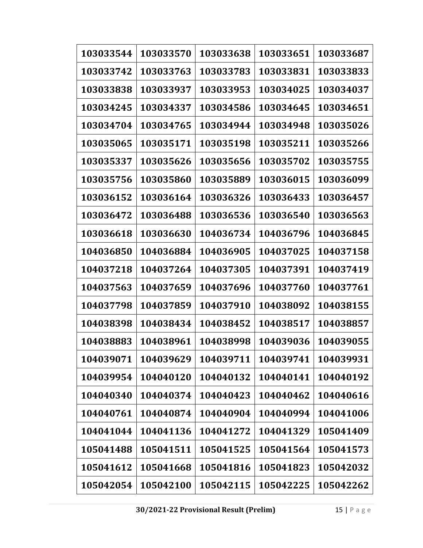| 103033544 | 103033570 | 103033638 | 103033651 | 103033687 |
|-----------|-----------|-----------|-----------|-----------|
| 103033742 | 103033763 | 103033783 | 103033831 | 103033833 |
| 103033838 | 103033937 | 103033953 | 103034025 | 103034037 |
| 103034245 | 103034337 | 103034586 | 103034645 | 103034651 |
| 103034704 | 103034765 | 103034944 | 103034948 | 103035026 |
| 103035065 | 103035171 | 103035198 | 103035211 | 103035266 |
| 103035337 | 103035626 | 103035656 | 103035702 | 103035755 |
| 103035756 | 103035860 | 103035889 | 103036015 | 103036099 |
| 103036152 | 103036164 | 103036326 | 103036433 | 103036457 |
| 103036472 | 103036488 | 103036536 | 103036540 | 103036563 |
| 103036618 | 103036630 | 104036734 | 104036796 | 104036845 |
| 104036850 | 104036884 | 104036905 | 104037025 | 104037158 |
| 104037218 | 104037264 | 104037305 | 104037391 | 104037419 |
| 104037563 | 104037659 | 104037696 | 104037760 | 104037761 |
| 104037798 | 104037859 | 104037910 | 104038092 | 104038155 |
| 104038398 | 104038434 | 104038452 | 104038517 | 104038857 |
| 104038883 | 104038961 | 104038998 | 104039036 | 104039055 |
| 104039071 | 104039629 | 104039711 | 104039741 | 104039931 |
| 104039954 | 104040120 | 104040132 | 104040141 | 104040192 |
| 104040340 | 104040374 | 104040423 | 104040462 | 104040616 |
| 104040761 | 104040874 | 104040904 | 104040994 | 104041006 |
| 104041044 | 104041136 | 104041272 | 104041329 | 105041409 |
| 105041488 | 105041511 | 105041525 | 105041564 | 105041573 |
| 105041612 | 105041668 | 105041816 | 105041823 | 105042032 |
| 105042054 | 105042100 | 105042115 | 105042225 | 105042262 |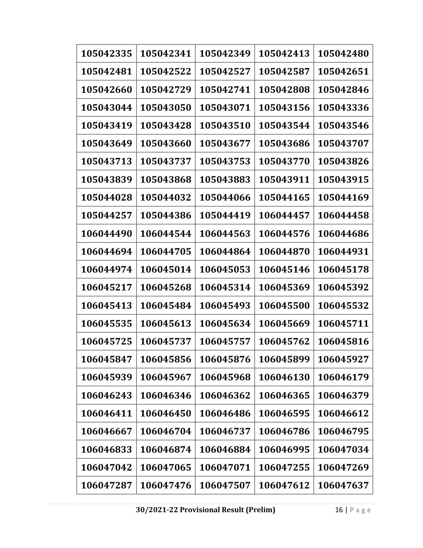| 105042335 | 105042341 | 105042349 | 105042413 | 105042480 |
|-----------|-----------|-----------|-----------|-----------|
| 105042481 | 105042522 | 105042527 | 105042587 | 105042651 |
| 105042660 | 105042729 | 105042741 | 105042808 | 105042846 |
| 105043044 | 105043050 | 105043071 | 105043156 | 105043336 |
| 105043419 | 105043428 | 105043510 | 105043544 | 105043546 |
| 105043649 | 105043660 | 105043677 | 105043686 | 105043707 |
| 105043713 | 105043737 | 105043753 | 105043770 | 105043826 |
| 105043839 | 105043868 | 105043883 | 105043911 | 105043915 |
| 105044028 | 105044032 | 105044066 | 105044165 | 105044169 |
| 105044257 | 105044386 | 105044419 | 106044457 | 106044458 |
| 106044490 | 106044544 | 106044563 | 106044576 | 106044686 |
| 106044694 | 106044705 | 106044864 | 106044870 | 106044931 |
| 106044974 | 106045014 | 106045053 | 106045146 | 106045178 |
| 106045217 | 106045268 | 106045314 | 106045369 | 106045392 |
| 106045413 | 106045484 | 106045493 | 106045500 | 106045532 |
| 106045535 | 106045613 | 106045634 | 106045669 | 106045711 |
| 106045725 | 106045737 | 106045757 | 106045762 | 106045816 |
| 106045847 | 106045856 | 106045876 | 106045899 | 106045927 |
| 106045939 | 106045967 | 106045968 | 106046130 | 106046179 |
| 106046243 | 106046346 | 106046362 | 106046365 | 106046379 |
| 106046411 | 106046450 | 106046486 | 106046595 | 106046612 |
| 106046667 | 106046704 | 106046737 | 106046786 | 106046795 |
| 106046833 | 106046874 | 106046884 | 106046995 | 106047034 |
| 106047042 | 106047065 | 106047071 | 106047255 | 106047269 |
| 106047287 | 106047476 | 106047507 | 106047612 | 106047637 |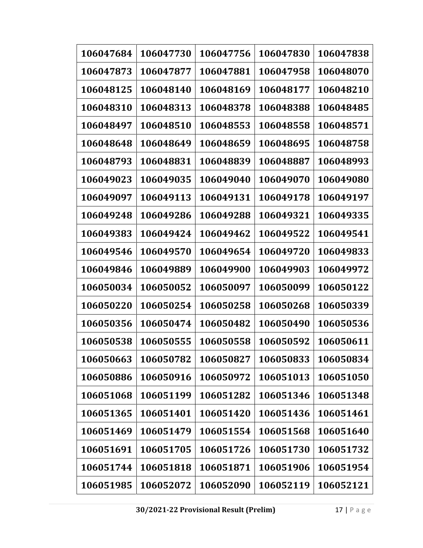| 106047684 | 106047730 | 106047756 | 106047830 | 106047838 |
|-----------|-----------|-----------|-----------|-----------|
| 106047873 | 106047877 | 106047881 | 106047958 | 106048070 |
| 106048125 | 106048140 | 106048169 | 106048177 | 106048210 |
| 106048310 | 106048313 | 106048378 | 106048388 | 106048485 |
| 106048497 | 106048510 | 106048553 | 106048558 | 106048571 |
| 106048648 | 106048649 | 106048659 | 106048695 | 106048758 |
| 106048793 | 106048831 | 106048839 | 106048887 | 106048993 |
| 106049023 | 106049035 | 106049040 | 106049070 | 106049080 |
| 106049097 | 106049113 | 106049131 | 106049178 | 106049197 |
| 106049248 | 106049286 | 106049288 | 106049321 | 106049335 |
| 106049383 | 106049424 | 106049462 | 106049522 | 106049541 |
| 106049546 | 106049570 | 106049654 | 106049720 | 106049833 |
| 106049846 | 106049889 | 106049900 | 106049903 | 106049972 |
| 106050034 | 106050052 | 106050097 | 106050099 | 106050122 |
| 106050220 | 106050254 | 106050258 | 106050268 | 106050339 |
| 106050356 | 106050474 | 106050482 | 106050490 | 106050536 |
| 106050538 | 106050555 | 106050558 | 106050592 | 106050611 |
| 106050663 | 106050782 | 106050827 | 106050833 | 106050834 |
| 106050886 | 106050916 | 106050972 | 106051013 | 106051050 |
| 106051068 | 106051199 | 106051282 | 106051346 | 106051348 |
| 106051365 | 106051401 | 106051420 | 106051436 | 106051461 |
| 106051469 | 106051479 | 106051554 | 106051568 | 106051640 |
| 106051691 | 106051705 | 106051726 | 106051730 | 106051732 |
| 106051744 | 106051818 | 106051871 | 106051906 | 106051954 |
| 106051985 | 106052072 | 106052090 | 106052119 | 106052121 |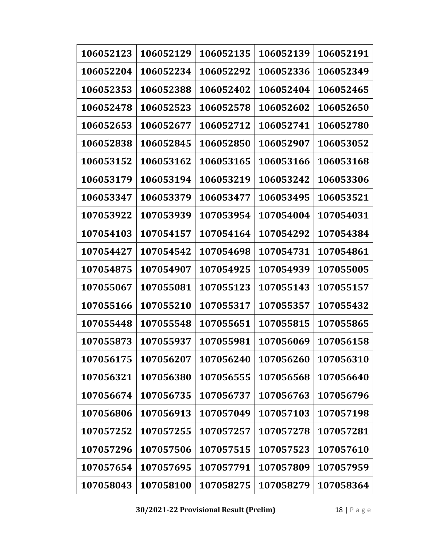| 106052123 | 106052129 | 106052135 | 106052139 | 106052191 |
|-----------|-----------|-----------|-----------|-----------|
| 106052204 | 106052234 | 106052292 | 106052336 | 106052349 |
| 106052353 | 106052388 | 106052402 | 106052404 | 106052465 |
| 106052478 | 106052523 | 106052578 | 106052602 | 106052650 |
| 106052653 | 106052677 | 106052712 | 106052741 | 106052780 |
| 106052838 | 106052845 | 106052850 | 106052907 | 106053052 |
| 106053152 | 106053162 | 106053165 | 106053166 | 106053168 |
| 106053179 | 106053194 | 106053219 | 106053242 | 106053306 |
| 106053347 | 106053379 | 106053477 | 106053495 | 106053521 |
| 107053922 | 107053939 | 107053954 | 107054004 | 107054031 |
| 107054103 | 107054157 | 107054164 | 107054292 | 107054384 |
| 107054427 | 107054542 | 107054698 | 107054731 | 107054861 |
| 107054875 | 107054907 | 107054925 | 107054939 | 107055005 |
| 107055067 | 107055081 | 107055123 | 107055143 | 107055157 |
| 107055166 | 107055210 | 107055317 | 107055357 | 107055432 |
| 107055448 | 107055548 | 107055651 | 107055815 | 107055865 |
| 107055873 | 107055937 | 107055981 | 107056069 | 107056158 |
| 107056175 | 107056207 | 107056240 | 107056260 | 107056310 |
| 107056321 | 107056380 | 107056555 | 107056568 | 107056640 |
| 107056674 | 107056735 | 107056737 | 107056763 | 107056796 |
| 107056806 | 107056913 | 107057049 | 107057103 | 107057198 |
| 107057252 | 107057255 | 107057257 | 107057278 | 107057281 |
| 107057296 | 107057506 | 107057515 | 107057523 | 107057610 |
| 107057654 | 107057695 | 107057791 | 107057809 | 107057959 |
| 107058043 | 107058100 | 107058275 | 107058279 | 107058364 |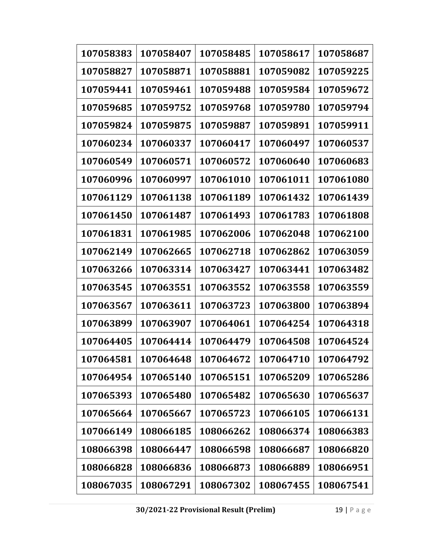| 107058383 | 107058407 | 107058485 | 107058617 | 107058687 |
|-----------|-----------|-----------|-----------|-----------|
| 107058827 | 107058871 | 107058881 | 107059082 | 107059225 |
| 107059441 | 107059461 | 107059488 | 107059584 | 107059672 |
| 107059685 | 107059752 | 107059768 | 107059780 | 107059794 |
| 107059824 | 107059875 | 107059887 | 107059891 | 107059911 |
| 107060234 | 107060337 | 107060417 | 107060497 | 107060537 |
| 107060549 | 107060571 | 107060572 | 107060640 | 107060683 |
| 107060996 | 107060997 | 107061010 | 107061011 | 107061080 |
| 107061129 | 107061138 | 107061189 | 107061432 | 107061439 |
| 107061450 | 107061487 | 107061493 | 107061783 | 107061808 |
| 107061831 | 107061985 | 107062006 | 107062048 | 107062100 |
| 107062149 | 107062665 | 107062718 | 107062862 | 107063059 |
| 107063266 | 107063314 | 107063427 | 107063441 | 107063482 |
| 107063545 | 107063551 | 107063552 | 107063558 | 107063559 |
| 107063567 | 107063611 | 107063723 | 107063800 | 107063894 |
| 107063899 | 107063907 | 107064061 | 107064254 | 107064318 |
| 107064405 | 107064414 | 107064479 | 107064508 | 107064524 |
| 107064581 | 107064648 | 107064672 | 107064710 | 107064792 |
| 107064954 | 107065140 | 107065151 | 107065209 | 107065286 |
| 107065393 | 107065480 | 107065482 | 107065630 | 107065637 |
| 107065664 | 107065667 | 107065723 | 107066105 | 107066131 |
| 107066149 | 108066185 | 108066262 | 108066374 | 108066383 |
| 108066398 | 108066447 | 108066598 | 108066687 | 108066820 |
| 108066828 | 108066836 | 108066873 | 108066889 | 108066951 |
| 108067035 | 108067291 | 108067302 | 108067455 | 108067541 |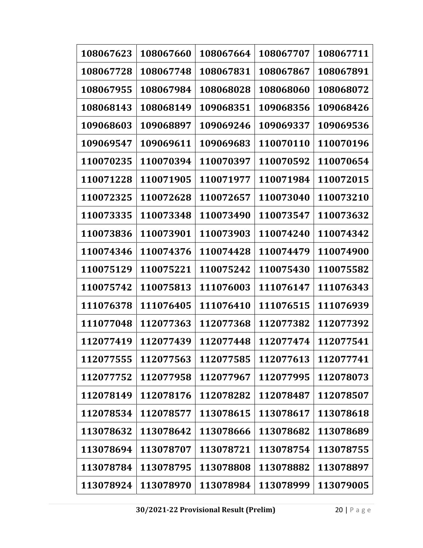| 108067623 | 108067660 | 108067664 | 108067707 | 108067711 |
|-----------|-----------|-----------|-----------|-----------|
| 108067728 | 108067748 | 108067831 | 108067867 | 108067891 |
| 108067955 | 108067984 | 108068028 | 108068060 | 108068072 |
| 108068143 | 108068149 | 109068351 | 109068356 | 109068426 |
| 109068603 | 109068897 | 109069246 | 109069337 | 109069536 |
| 109069547 | 109069611 | 109069683 | 110070110 | 110070196 |
| 110070235 | 110070394 | 110070397 | 110070592 | 110070654 |
| 110071228 | 110071905 | 110071977 | 110071984 | 110072015 |
| 110072325 | 110072628 | 110072657 | 110073040 | 110073210 |
| 110073335 | 110073348 | 110073490 | 110073547 | 110073632 |
| 110073836 | 110073901 | 110073903 | 110074240 | 110074342 |
| 110074346 | 110074376 | 110074428 | 110074479 | 110074900 |
| 110075129 | 110075221 | 110075242 | 110075430 | 110075582 |
| 110075742 | 110075813 | 111076003 | 111076147 | 111076343 |
| 111076378 | 111076405 | 111076410 | 111076515 | 111076939 |
| 111077048 | 112077363 | 112077368 | 112077382 | 112077392 |
| 112077419 | 112077439 | 112077448 | 112077474 | 112077541 |
| 112077555 | 112077563 | 112077585 | 112077613 | 112077741 |
| 112077752 | 112077958 | 112077967 | 112077995 | 112078073 |
| 112078149 | 112078176 | 112078282 | 112078487 | 112078507 |
| 112078534 | 112078577 | 113078615 | 113078617 | 113078618 |
| 113078632 | 113078642 | 113078666 | 113078682 | 113078689 |
| 113078694 | 113078707 | 113078721 | 113078754 | 113078755 |
| 113078784 | 113078795 | 113078808 | 113078882 | 113078897 |
| 113078924 | 113078970 | 113078984 | 113078999 | 113079005 |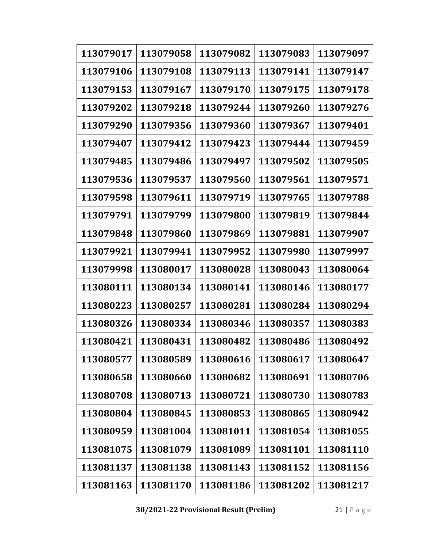| 113079017 | 113079058 | 113079082 | 113079083 | 113079097 |
|-----------|-----------|-----------|-----------|-----------|
| 113079106 | 113079108 | 113079113 | 113079141 | 113079147 |
| 113079153 | 113079167 | 113079170 | 113079175 | 113079178 |
| 113079202 | 113079218 | 113079244 | 113079260 | 113079276 |
| 113079290 | 113079356 | 113079360 | 113079367 | 113079401 |
| 113079407 | 113079412 | 113079423 | 113079444 | 113079459 |
| 113079485 | 113079486 | 113079497 | 113079502 | 113079505 |
| 113079536 | 113079537 | 113079560 | 113079561 | 113079571 |
| 113079598 | 113079611 | 113079719 | 113079765 | 113079788 |
| 113079791 | 113079799 | 113079800 | 113079819 | 113079844 |
| 113079848 | 113079860 | 113079869 | 113079881 | 113079907 |
| 113079921 | 113079941 | 113079952 | 113079980 | 113079997 |
| 113079998 | 113080017 | 113080028 | 113080043 | 113080064 |
| 113080111 | 113080134 | 113080141 | 113080146 | 113080177 |
| 113080223 | 113080257 | 113080281 | 113080284 | 113080294 |
| 113080326 | 113080334 | 113080346 | 113080357 | 113080383 |
| 113080421 | 113080431 | 113080482 | 113080486 | 113080492 |
| 113080577 | 113080589 | 113080616 | 113080617 | 113080647 |
| 113080658 | 113080660 | 113080682 | 113080691 | 113080706 |
| 113080708 | 113080713 | 113080721 | 113080730 | 113080783 |
| 113080804 | 113080845 | 113080853 | 113080865 | 113080942 |
| 113080959 | 113081004 | 113081011 | 113081054 | 113081055 |
| 113081075 | 113081079 | 113081089 | 113081101 | 113081110 |
| 113081137 | 113081138 | 113081143 | 113081152 | 113081156 |
| 113081163 | 113081170 | 113081186 | 113081202 | 113081217 |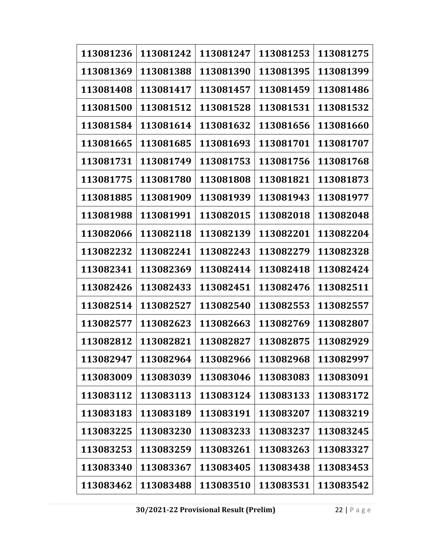| 113081236 | 113081242 | 113081247 | 113081253 | 113081275 |
|-----------|-----------|-----------|-----------|-----------|
| 113081369 | 113081388 | 113081390 | 113081395 | 113081399 |
| 113081408 | 113081417 | 113081457 | 113081459 | 113081486 |
| 113081500 | 113081512 | 113081528 | 113081531 | 113081532 |
| 113081584 | 113081614 | 113081632 | 113081656 | 113081660 |
| 113081665 | 113081685 | 113081693 | 113081701 | 113081707 |
| 113081731 | 113081749 | 113081753 | 113081756 | 113081768 |
| 113081775 | 113081780 | 113081808 | 113081821 | 113081873 |
| 113081885 | 113081909 | 113081939 | 113081943 | 113081977 |
| 113081988 | 113081991 | 113082015 | 113082018 | 113082048 |
| 113082066 | 113082118 | 113082139 | 113082201 | 113082204 |
| 113082232 | 113082241 | 113082243 | 113082279 | 113082328 |
| 113082341 | 113082369 | 113082414 | 113082418 | 113082424 |
| 113082426 | 113082433 | 113082451 | 113082476 | 113082511 |
| 113082514 | 113082527 | 113082540 | 113082553 | 113082557 |
| 113082577 | 113082623 | 113082663 | 113082769 | 113082807 |
| 113082812 | 113082821 | 113082827 | 113082875 | 113082929 |
| 113082947 | 113082964 | 113082966 | 113082968 | 113082997 |
| 113083009 | 113083039 | 113083046 | 113083083 | 113083091 |
| 113083112 | 113083113 | 113083124 | 113083133 | 113083172 |
| 113083183 | 113083189 | 113083191 | 113083207 | 113083219 |
| 113083225 | 113083230 | 113083233 | 113083237 | 113083245 |
| 113083253 | 113083259 | 113083261 | 113083263 | 113083327 |
| 113083340 | 113083367 | 113083405 | 113083438 | 113083453 |
| 113083462 | 113083488 | 113083510 | 113083531 | 113083542 |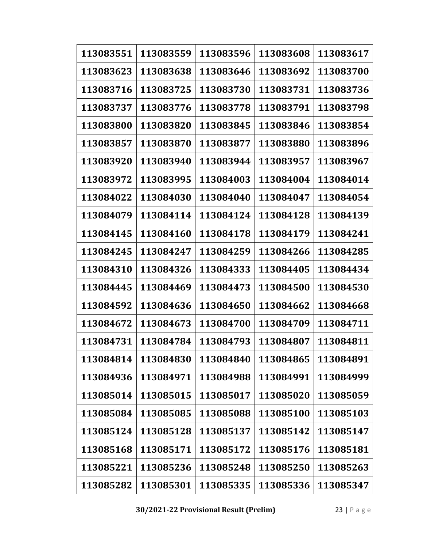| 113083551 | 113083559 | 113083596 | 113083608 | 113083617 |
|-----------|-----------|-----------|-----------|-----------|
| 113083623 | 113083638 | 113083646 | 113083692 | 113083700 |
| 113083716 | 113083725 | 113083730 | 113083731 | 113083736 |
| 113083737 | 113083776 | 113083778 | 113083791 | 113083798 |
| 113083800 | 113083820 | 113083845 | 113083846 | 113083854 |
| 113083857 | 113083870 | 113083877 | 113083880 | 113083896 |
| 113083920 | 113083940 | 113083944 | 113083957 | 113083967 |
| 113083972 | 113083995 | 113084003 | 113084004 | 113084014 |
| 113084022 | 113084030 | 113084040 | 113084047 | 113084054 |
| 113084079 | 113084114 | 113084124 | 113084128 | 113084139 |
| 113084145 | 113084160 | 113084178 | 113084179 | 113084241 |
| 113084245 | 113084247 | 113084259 | 113084266 | 113084285 |
| 113084310 | 113084326 | 113084333 | 113084405 | 113084434 |
| 113084445 | 113084469 | 113084473 | 113084500 | 113084530 |
| 113084592 | 113084636 | 113084650 | 113084662 | 113084668 |
| 113084672 | 113084673 | 113084700 | 113084709 | 113084711 |
| 113084731 | 113084784 | 113084793 | 113084807 | 113084811 |
| 113084814 | 113084830 | 113084840 | 113084865 | 113084891 |
| 113084936 | 113084971 | 113084988 | 113084991 | 113084999 |
| 113085014 | 113085015 | 113085017 | 113085020 | 113085059 |
| 113085084 | 113085085 | 113085088 | 113085100 | 113085103 |
| 113085124 | 113085128 | 113085137 | 113085142 | 113085147 |
| 113085168 | 113085171 | 113085172 | 113085176 | 113085181 |
| 113085221 | 113085236 | 113085248 | 113085250 | 113085263 |
| 113085282 | 113085301 | 113085335 | 113085336 | 113085347 |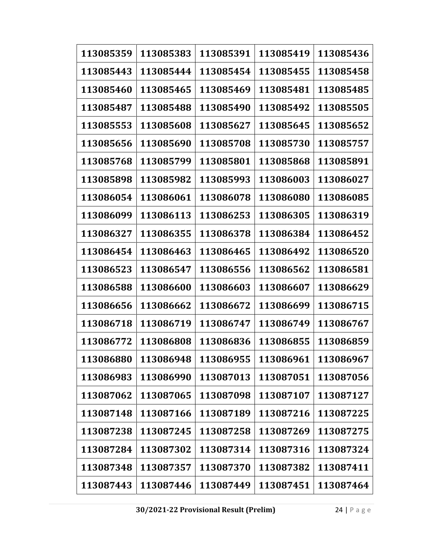| 113085359 | 113085383 | 113085391 | 113085419 | 113085436 |
|-----------|-----------|-----------|-----------|-----------|
| 113085443 | 113085444 | 113085454 | 113085455 | 113085458 |
| 113085460 | 113085465 | 113085469 | 113085481 | 113085485 |
| 113085487 | 113085488 | 113085490 | 113085492 | 113085505 |
| 113085553 | 113085608 | 113085627 | 113085645 | 113085652 |
| 113085656 | 113085690 | 113085708 | 113085730 | 113085757 |
| 113085768 | 113085799 | 113085801 | 113085868 | 113085891 |
| 113085898 | 113085982 | 113085993 | 113086003 | 113086027 |
| 113086054 | 113086061 | 113086078 | 113086080 | 113086085 |
| 113086099 | 113086113 | 113086253 | 113086305 | 113086319 |
| 113086327 | 113086355 | 113086378 | 113086384 | 113086452 |
| 113086454 | 113086463 | 113086465 | 113086492 | 113086520 |
| 113086523 | 113086547 | 113086556 | 113086562 | 113086581 |
| 113086588 | 113086600 | 113086603 | 113086607 | 113086629 |
| 113086656 | 113086662 | 113086672 | 113086699 | 113086715 |
| 113086718 | 113086719 | 113086747 | 113086749 | 113086767 |
| 113086772 | 113086808 | 113086836 | 113086855 | 113086859 |
| 113086880 | 113086948 | 113086955 | 113086961 | 113086967 |
| 113086983 | 113086990 | 113087013 | 113087051 | 113087056 |
| 113087062 | 113087065 | 113087098 | 113087107 | 113087127 |
| 113087148 | 113087166 | 113087189 | 113087216 | 113087225 |
| 113087238 | 113087245 | 113087258 | 113087269 | 113087275 |
| 113087284 | 113087302 | 113087314 | 113087316 | 113087324 |
| 113087348 | 113087357 | 113087370 | 113087382 | 113087411 |
| 113087443 | 113087446 | 113087449 | 113087451 | 113087464 |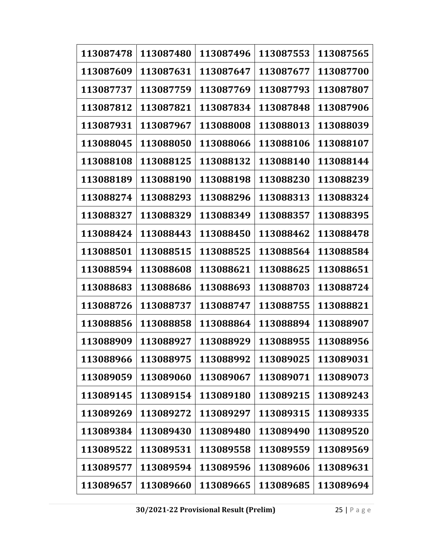| 113087478 | 113087480 | 113087496 | 113087553 | 113087565 |
|-----------|-----------|-----------|-----------|-----------|
| 113087609 | 113087631 | 113087647 | 113087677 | 113087700 |
| 113087737 | 113087759 | 113087769 | 113087793 | 113087807 |
| 113087812 | 113087821 | 113087834 | 113087848 | 113087906 |
| 113087931 | 113087967 | 113088008 | 113088013 | 113088039 |
| 113088045 | 113088050 | 113088066 | 113088106 | 113088107 |
| 113088108 | 113088125 | 113088132 | 113088140 | 113088144 |
| 113088189 | 113088190 | 113088198 | 113088230 | 113088239 |
| 113088274 | 113088293 | 113088296 | 113088313 | 113088324 |
| 113088327 | 113088329 | 113088349 | 113088357 | 113088395 |
| 113088424 | 113088443 | 113088450 | 113088462 | 113088478 |
| 113088501 | 113088515 | 113088525 | 113088564 | 113088584 |
| 113088594 | 113088608 | 113088621 | 113088625 | 113088651 |
| 113088683 | 113088686 | 113088693 | 113088703 | 113088724 |
| 113088726 | 113088737 | 113088747 | 113088755 | 113088821 |
| 113088856 | 113088858 | 113088864 | 113088894 | 113088907 |
| 113088909 | 113088927 | 113088929 | 113088955 | 113088956 |
| 113088966 | 113088975 | 113088992 | 113089025 | 113089031 |
| 113089059 | 113089060 | 113089067 | 113089071 | 113089073 |
| 113089145 | 113089154 | 113089180 | 113089215 | 113089243 |
| 113089269 | 113089272 | 113089297 | 113089315 | 113089335 |
| 113089384 | 113089430 | 113089480 | 113089490 | 113089520 |
| 113089522 | 113089531 | 113089558 | 113089559 | 113089569 |
| 113089577 | 113089594 | 113089596 | 113089606 | 113089631 |
| 113089657 | 113089660 | 113089665 | 113089685 | 113089694 |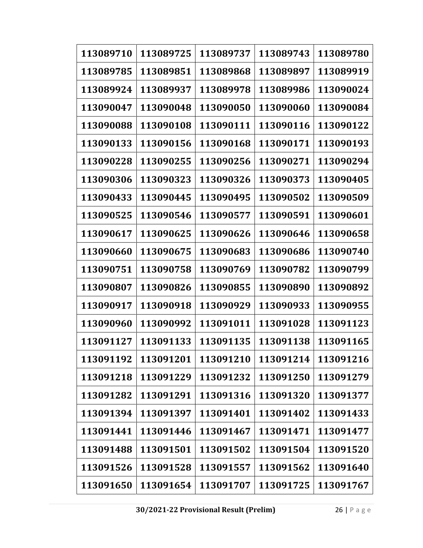| 113089710 | 113089725 | 113089737 | 113089743 | 113089780 |
|-----------|-----------|-----------|-----------|-----------|
| 113089785 | 113089851 | 113089868 | 113089897 | 113089919 |
| 113089924 | 113089937 | 113089978 | 113089986 | 113090024 |
| 113090047 | 113090048 | 113090050 | 113090060 | 113090084 |
| 113090088 | 113090108 | 113090111 | 113090116 | 113090122 |
| 113090133 | 113090156 | 113090168 | 113090171 | 113090193 |
| 113090228 | 113090255 | 113090256 | 113090271 | 113090294 |
| 113090306 | 113090323 | 113090326 | 113090373 | 113090405 |
| 113090433 | 113090445 | 113090495 | 113090502 | 113090509 |
| 113090525 | 113090546 | 113090577 | 113090591 | 113090601 |
| 113090617 | 113090625 | 113090626 | 113090646 | 113090658 |
| 113090660 | 113090675 | 113090683 | 113090686 | 113090740 |
| 113090751 | 113090758 | 113090769 | 113090782 | 113090799 |
| 113090807 | 113090826 | 113090855 | 113090890 | 113090892 |
| 113090917 | 113090918 | 113090929 | 113090933 | 113090955 |
| 113090960 | 113090992 | 113091011 | 113091028 | 113091123 |
| 113091127 | 113091133 | 113091135 | 113091138 | 113091165 |
| 113091192 | 113091201 | 113091210 | 113091214 | 113091216 |
| 113091218 | 113091229 | 113091232 | 113091250 | 113091279 |
| 113091282 | 113091291 | 113091316 | 113091320 | 113091377 |
| 113091394 | 113091397 | 113091401 | 113091402 | 113091433 |
| 113091441 | 113091446 | 113091467 | 113091471 | 113091477 |
| 113091488 | 113091501 | 113091502 | 113091504 | 113091520 |
| 113091526 | 113091528 | 113091557 | 113091562 | 113091640 |
| 113091650 | 113091654 | 113091707 | 113091725 | 113091767 |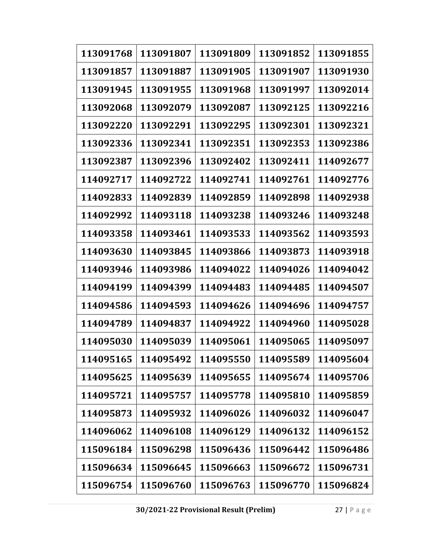| 113091768 | 113091807 | 113091809 | 113091852 | 113091855 |
|-----------|-----------|-----------|-----------|-----------|
| 113091857 | 113091887 | 113091905 | 113091907 | 113091930 |
| 113091945 | 113091955 | 113091968 | 113091997 | 113092014 |
| 113092068 | 113092079 | 113092087 | 113092125 | 113092216 |
| 113092220 | 113092291 | 113092295 | 113092301 | 113092321 |
| 113092336 | 113092341 | 113092351 | 113092353 | 113092386 |
| 113092387 | 113092396 | 113092402 | 113092411 | 114092677 |
| 114092717 | 114092722 | 114092741 | 114092761 | 114092776 |
| 114092833 | 114092839 | 114092859 | 114092898 | 114092938 |
| 114092992 | 114093118 | 114093238 | 114093246 | 114093248 |
| 114093358 | 114093461 | 114093533 | 114093562 | 114093593 |
| 114093630 | 114093845 | 114093866 | 114093873 | 114093918 |
| 114093946 | 114093986 | 114094022 | 114094026 | 114094042 |
| 114094199 | 114094399 | 114094483 | 114094485 | 114094507 |
| 114094586 | 114094593 | 114094626 | 114094696 | 114094757 |
| 114094789 | 114094837 | 114094922 | 114094960 | 114095028 |
| 114095030 | 114095039 | 114095061 | 114095065 | 114095097 |
| 114095165 | 114095492 | 114095550 | 114095589 | 114095604 |
| 114095625 | 114095639 | 114095655 | 114095674 | 114095706 |
| 114095721 | 114095757 | 114095778 | 114095810 | 114095859 |
| 114095873 | 114095932 | 114096026 | 114096032 | 114096047 |
| 114096062 | 114096108 | 114096129 | 114096132 | 114096152 |
| 115096184 | 115096298 | 115096436 | 115096442 | 115096486 |
| 115096634 | 115096645 | 115096663 | 115096672 | 115096731 |
| 115096754 | 115096760 | 115096763 | 115096770 | 115096824 |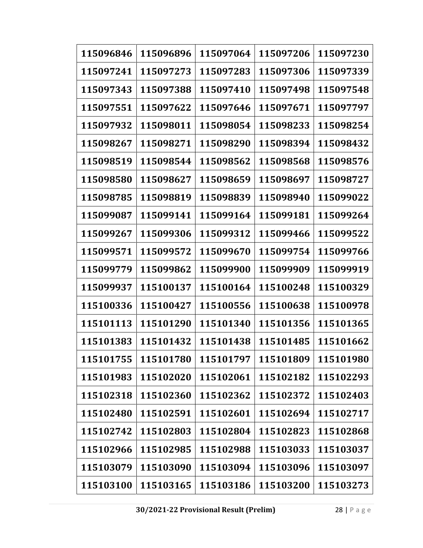| 115096846 | 115096896 | 115097064 | 115097206 | 115097230 |
|-----------|-----------|-----------|-----------|-----------|
| 115097241 | 115097273 | 115097283 | 115097306 | 115097339 |
| 115097343 | 115097388 | 115097410 | 115097498 | 115097548 |
| 115097551 | 115097622 | 115097646 | 115097671 | 115097797 |
| 115097932 | 115098011 | 115098054 | 115098233 | 115098254 |
| 115098267 | 115098271 | 115098290 | 115098394 | 115098432 |
| 115098519 | 115098544 | 115098562 | 115098568 | 115098576 |
| 115098580 | 115098627 | 115098659 | 115098697 | 115098727 |
| 115098785 | 115098819 | 115098839 | 115098940 | 115099022 |
| 115099087 | 115099141 | 115099164 | 115099181 | 115099264 |
| 115099267 | 115099306 | 115099312 | 115099466 | 115099522 |
| 115099571 | 115099572 | 115099670 | 115099754 | 115099766 |
| 115099779 | 115099862 | 115099900 | 115099909 | 115099919 |
| 115099937 | 115100137 | 115100164 | 115100248 | 115100329 |
| 115100336 | 115100427 | 115100556 | 115100638 | 115100978 |
| 115101113 | 115101290 | 115101340 | 115101356 | 115101365 |
| 115101383 | 115101432 | 115101438 | 115101485 | 115101662 |
| 115101755 | 115101780 | 115101797 | 115101809 | 115101980 |
| 115101983 | 115102020 | 115102061 | 115102182 | 115102293 |
| 115102318 | 115102360 | 115102362 | 115102372 | 115102403 |
| 115102480 | 115102591 | 115102601 | 115102694 | 115102717 |
| 115102742 | 115102803 | 115102804 | 115102823 | 115102868 |
| 115102966 | 115102985 | 115102988 | 115103033 | 115103037 |
| 115103079 | 115103090 | 115103094 | 115103096 | 115103097 |
| 115103100 | 115103165 | 115103186 | 115103200 | 115103273 |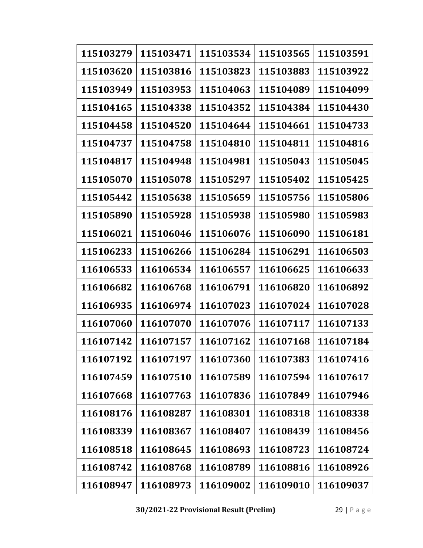| 115103279 | 115103471 | 115103534 | 115103565 | 115103591 |
|-----------|-----------|-----------|-----------|-----------|
| 115103620 | 115103816 | 115103823 | 115103883 | 115103922 |
| 115103949 | 115103953 | 115104063 | 115104089 | 115104099 |
| 115104165 | 115104338 | 115104352 | 115104384 | 115104430 |
| 115104458 | 115104520 | 115104644 | 115104661 | 115104733 |
| 115104737 | 115104758 | 115104810 | 115104811 | 115104816 |
| 115104817 | 115104948 | 115104981 | 115105043 | 115105045 |
| 115105070 | 115105078 | 115105297 | 115105402 | 115105425 |
| 115105442 | 115105638 | 115105659 | 115105756 | 115105806 |
| 115105890 | 115105928 | 115105938 | 115105980 | 115105983 |
| 115106021 | 115106046 | 115106076 | 115106090 | 115106181 |
| 115106233 | 115106266 | 115106284 | 115106291 | 116106503 |
| 116106533 | 116106534 | 116106557 | 116106625 | 116106633 |
| 116106682 | 116106768 | 116106791 | 116106820 | 116106892 |
| 116106935 | 116106974 | 116107023 | 116107024 | 116107028 |
| 116107060 | 116107070 | 116107076 | 116107117 | 116107133 |
| 116107142 | 116107157 | 116107162 | 116107168 | 116107184 |
| 116107192 | 116107197 | 116107360 | 116107383 | 116107416 |
| 116107459 | 116107510 | 116107589 | 116107594 | 116107617 |
| 116107668 | 116107763 | 116107836 | 116107849 | 116107946 |
| 116108176 | 116108287 | 116108301 | 116108318 | 116108338 |
| 116108339 | 116108367 | 116108407 | 116108439 | 116108456 |
| 116108518 | 116108645 | 116108693 | 116108723 | 116108724 |
| 116108742 | 116108768 | 116108789 | 116108816 | 116108926 |
| 116108947 | 116108973 | 116109002 | 116109010 | 116109037 |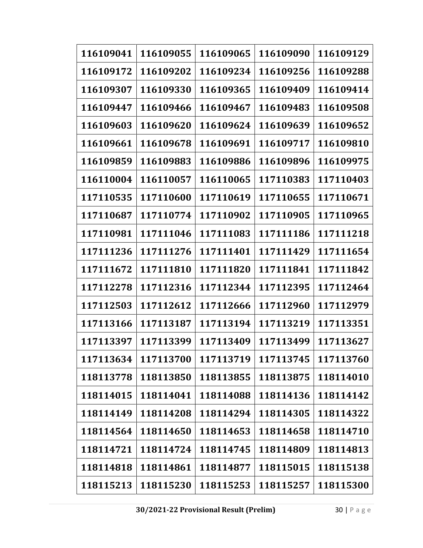| 116109041 | 116109055 | 116109065 | 116109090 | 116109129 |
|-----------|-----------|-----------|-----------|-----------|
| 116109172 | 116109202 | 116109234 | 116109256 | 116109288 |
| 116109307 | 116109330 | 116109365 | 116109409 | 116109414 |
| 116109447 | 116109466 | 116109467 | 116109483 | 116109508 |
| 116109603 | 116109620 | 116109624 | 116109639 | 116109652 |
| 116109661 | 116109678 | 116109691 | 116109717 | 116109810 |
| 116109859 | 116109883 | 116109886 | 116109896 | 116109975 |
| 116110004 | 116110057 | 116110065 | 117110383 | 117110403 |
| 117110535 | 117110600 | 117110619 | 117110655 | 117110671 |
| 117110687 | 117110774 | 117110902 | 117110905 | 117110965 |
| 117110981 | 117111046 | 117111083 | 117111186 | 117111218 |
| 117111236 | 117111276 | 117111401 | 117111429 | 117111654 |
| 117111672 | 117111810 | 117111820 | 117111841 | 117111842 |
| 117112278 | 117112316 | 117112344 | 117112395 | 117112464 |
| 117112503 | 117112612 | 117112666 | 117112960 | 117112979 |
| 117113166 | 117113187 | 117113194 | 117113219 | 117113351 |
| 117113397 | 117113399 | 117113409 | 117113499 | 117113627 |
| 117113634 | 117113700 | 117113719 | 117113745 | 117113760 |
| 118113778 | 118113850 | 118113855 | 118113875 | 118114010 |
| 118114015 | 118114041 | 118114088 | 118114136 | 118114142 |
| 118114149 | 118114208 | 118114294 | 118114305 | 118114322 |
| 118114564 | 118114650 | 118114653 | 118114658 | 118114710 |
| 118114721 | 118114724 | 118114745 | 118114809 | 118114813 |
| 118114818 | 118114861 | 118114877 | 118115015 | 118115138 |
| 118115213 | 118115230 | 118115253 | 118115257 | 118115300 |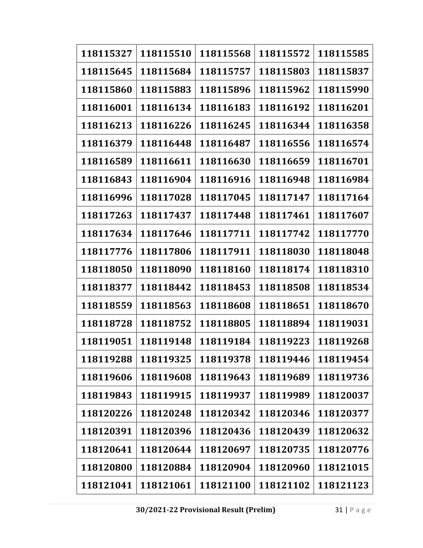| 118115327 | 118115510 | 118115568 | 118115572 | 118115585 |
|-----------|-----------|-----------|-----------|-----------|
| 118115645 | 118115684 | 118115757 | 118115803 | 118115837 |
| 118115860 | 118115883 | 118115896 | 118115962 | 118115990 |
| 118116001 | 118116134 | 118116183 | 118116192 | 118116201 |
| 118116213 | 118116226 | 118116245 | 118116344 | 118116358 |
| 118116379 | 118116448 | 118116487 | 118116556 | 118116574 |
| 118116589 | 118116611 | 118116630 | 118116659 | 118116701 |
| 118116843 | 118116904 | 118116916 | 118116948 | 118116984 |
| 118116996 | 118117028 | 118117045 | 118117147 | 118117164 |
| 118117263 | 118117437 | 118117448 | 118117461 | 118117607 |
| 118117634 | 118117646 | 118117711 | 118117742 | 118117770 |
| 118117776 | 118117806 | 118117911 | 118118030 | 118118048 |
| 118118050 | 118118090 | 118118160 | 118118174 | 118118310 |
| 118118377 | 118118442 | 118118453 | 118118508 | 118118534 |
| 118118559 | 118118563 | 118118608 | 118118651 | 118118670 |
| 118118728 | 118118752 | 118118805 | 118118894 | 118119031 |
| 118119051 | 118119148 | 118119184 | 118119223 | 118119268 |
| 118119288 | 118119325 | 118119378 | 118119446 | 118119454 |
| 118119606 | 118119608 | 118119643 | 118119689 | 118119736 |
| 118119843 | 118119915 | 118119937 | 118119989 | 118120037 |
| 118120226 | 118120248 | 118120342 | 118120346 | 118120377 |
| 118120391 | 118120396 | 118120436 | 118120439 | 118120632 |
| 118120641 | 118120644 | 118120697 | 118120735 | 118120776 |
| 118120800 | 118120884 | 118120904 | 118120960 | 118121015 |
| 118121041 | 118121061 | 118121100 | 118121102 | 118121123 |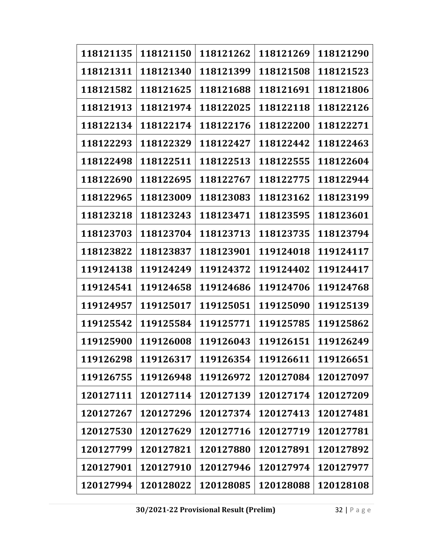| 118121135 | 118121150 | 118121262 | 118121269 | 118121290 |
|-----------|-----------|-----------|-----------|-----------|
| 118121311 | 118121340 | 118121399 | 118121508 | 118121523 |
| 118121582 | 118121625 | 118121688 | 118121691 | 118121806 |
| 118121913 | 118121974 | 118122025 | 118122118 | 118122126 |
| 118122134 | 118122174 | 118122176 | 118122200 | 118122271 |
| 118122293 | 118122329 | 118122427 | 118122442 | 118122463 |
| 118122498 | 118122511 | 118122513 | 118122555 | 118122604 |
| 118122690 | 118122695 | 118122767 | 118122775 | 118122944 |
| 118122965 | 118123009 | 118123083 | 118123162 | 118123199 |
| 118123218 | 118123243 | 118123471 | 118123595 | 118123601 |
| 118123703 | 118123704 | 118123713 | 118123735 | 118123794 |
| 118123822 | 118123837 | 118123901 | 119124018 | 119124117 |
| 119124138 | 119124249 | 119124372 | 119124402 | 119124417 |
| 119124541 | 119124658 | 119124686 | 119124706 | 119124768 |
| 119124957 | 119125017 | 119125051 | 119125090 | 119125139 |
| 119125542 | 119125584 | 119125771 | 119125785 | 119125862 |
| 119125900 | 119126008 | 119126043 | 119126151 | 119126249 |
| 119126298 | 119126317 | 119126354 | 119126611 | 119126651 |
| 119126755 | 119126948 | 119126972 | 120127084 | 120127097 |
| 120127111 | 120127114 | 120127139 | 120127174 | 120127209 |
| 120127267 | 120127296 | 120127374 | 120127413 | 120127481 |
| 120127530 | 120127629 | 120127716 | 120127719 | 120127781 |
| 120127799 | 120127821 | 120127880 | 120127891 | 120127892 |
| 120127901 | 120127910 | 120127946 | 120127974 | 120127977 |
| 120127994 | 120128022 | 120128085 | 120128088 | 120128108 |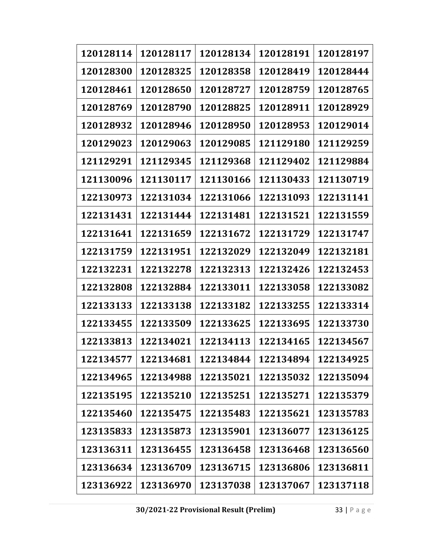| 120128114 | 120128117 | 120128134 | 120128191 | 120128197 |
|-----------|-----------|-----------|-----------|-----------|
| 120128300 | 120128325 | 120128358 | 120128419 | 120128444 |
| 120128461 | 120128650 | 120128727 | 120128759 | 120128765 |
| 120128769 | 120128790 | 120128825 | 120128911 | 120128929 |
| 120128932 | 120128946 | 120128950 | 120128953 | 120129014 |
| 120129023 | 120129063 | 120129085 | 121129180 | 121129259 |
| 121129291 | 121129345 | 121129368 | 121129402 | 121129884 |
| 121130096 | 121130117 | 121130166 | 121130433 | 121130719 |
| 122130973 | 122131034 | 122131066 | 122131093 | 122131141 |
| 122131431 | 122131444 | 122131481 | 122131521 | 122131559 |
| 122131641 | 122131659 | 122131672 | 122131729 | 122131747 |
| 122131759 | 122131951 | 122132029 | 122132049 | 122132181 |
| 122132231 | 122132278 | 122132313 | 122132426 | 122132453 |
| 122132808 | 122132884 | 122133011 | 122133058 | 122133082 |
| 122133133 | 122133138 | 122133182 | 122133255 | 122133314 |
| 122133455 | 122133509 | 122133625 | 122133695 | 122133730 |
| 122133813 | 122134021 | 122134113 | 122134165 | 122134567 |
| 122134577 | 122134681 | 122134844 | 122134894 | 122134925 |
| 122134965 | 122134988 | 122135021 | 122135032 | 122135094 |
| 122135195 | 122135210 | 122135251 | 122135271 | 122135379 |
| 122135460 | 122135475 | 122135483 | 122135621 | 123135783 |
| 123135833 | 123135873 | 123135901 | 123136077 | 123136125 |
| 123136311 | 123136455 | 123136458 | 123136468 | 123136560 |
| 123136634 | 123136709 | 123136715 | 123136806 | 123136811 |
| 123136922 | 123136970 | 123137038 | 123137067 | 123137118 |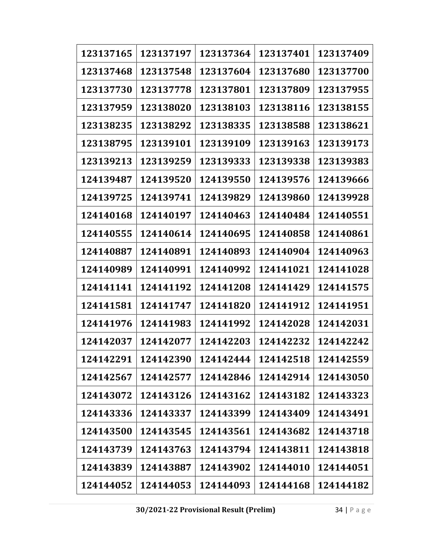| 123137165 | 123137197 | 123137364 | 123137401 | 123137409 |
|-----------|-----------|-----------|-----------|-----------|
| 123137468 | 123137548 | 123137604 | 123137680 | 123137700 |
| 123137730 | 123137778 | 123137801 | 123137809 | 123137955 |
| 123137959 | 123138020 | 123138103 | 123138116 | 123138155 |
| 123138235 | 123138292 | 123138335 | 123138588 | 123138621 |
| 123138795 | 123139101 | 123139109 | 123139163 | 123139173 |
| 123139213 | 123139259 | 123139333 | 123139338 | 123139383 |
| 124139487 | 124139520 | 124139550 | 124139576 | 124139666 |
| 124139725 | 124139741 | 124139829 | 124139860 | 124139928 |
| 124140168 | 124140197 | 124140463 | 124140484 | 124140551 |
| 124140555 | 124140614 | 124140695 | 124140858 | 124140861 |
| 124140887 | 124140891 | 124140893 | 124140904 | 124140963 |
| 124140989 | 124140991 | 124140992 | 124141021 | 124141028 |
| 124141141 | 124141192 | 124141208 | 124141429 | 124141575 |
| 124141581 | 124141747 | 124141820 | 124141912 | 124141951 |
| 124141976 | 124141983 | 124141992 | 124142028 | 124142031 |
| 124142037 | 124142077 | 124142203 | 124142232 | 124142242 |
| 124142291 | 124142390 | 124142444 | 124142518 | 124142559 |
| 124142567 | 124142577 | 124142846 | 124142914 | 124143050 |
| 124143072 | 124143126 | 124143162 | 124143182 | 124143323 |
| 124143336 | 124143337 | 124143399 | 124143409 | 124143491 |
| 124143500 | 124143545 | 124143561 | 124143682 | 124143718 |
| 124143739 | 124143763 | 124143794 | 124143811 | 124143818 |
| 124143839 | 124143887 | 124143902 | 124144010 | 124144051 |
| 124144052 | 124144053 | 124144093 | 124144168 | 124144182 |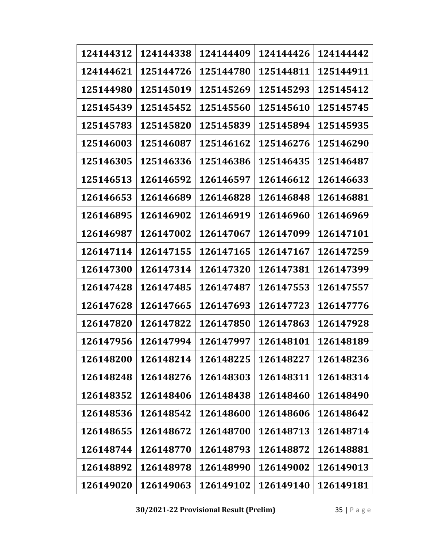| 124144312 | 124144338 | 124144409 | 124144426 | 124144442 |
|-----------|-----------|-----------|-----------|-----------|
| 124144621 | 125144726 | 125144780 | 125144811 | 125144911 |
| 125144980 | 125145019 | 125145269 | 125145293 | 125145412 |
| 125145439 | 125145452 | 125145560 | 125145610 | 125145745 |
| 125145783 | 125145820 | 125145839 | 125145894 | 125145935 |
| 125146003 | 125146087 | 125146162 | 125146276 | 125146290 |
| 125146305 | 125146336 | 125146386 | 125146435 | 125146487 |
| 125146513 | 126146592 | 126146597 | 126146612 | 126146633 |
| 126146653 | 126146689 | 126146828 | 126146848 | 126146881 |
| 126146895 | 126146902 | 126146919 | 126146960 | 126146969 |
| 126146987 | 126147002 | 126147067 | 126147099 | 126147101 |
| 126147114 | 126147155 | 126147165 | 126147167 | 126147259 |
| 126147300 | 126147314 | 126147320 | 126147381 | 126147399 |
| 126147428 | 126147485 | 126147487 | 126147553 | 126147557 |
| 126147628 | 126147665 | 126147693 | 126147723 | 126147776 |
| 126147820 | 126147822 | 126147850 | 126147863 | 126147928 |
| 126147956 | 126147994 | 126147997 | 126148101 | 126148189 |
| 126148200 | 126148214 | 126148225 | 126148227 | 126148236 |
| 126148248 | 126148276 | 126148303 | 126148311 | 126148314 |
| 126148352 | 126148406 | 126148438 | 126148460 | 126148490 |
| 126148536 | 126148542 | 126148600 | 126148606 | 126148642 |
| 126148655 | 126148672 | 126148700 | 126148713 | 126148714 |
| 126148744 | 126148770 | 126148793 | 126148872 | 126148881 |
| 126148892 | 126148978 | 126148990 | 126149002 | 126149013 |
| 126149020 | 126149063 | 126149102 | 126149140 | 126149181 |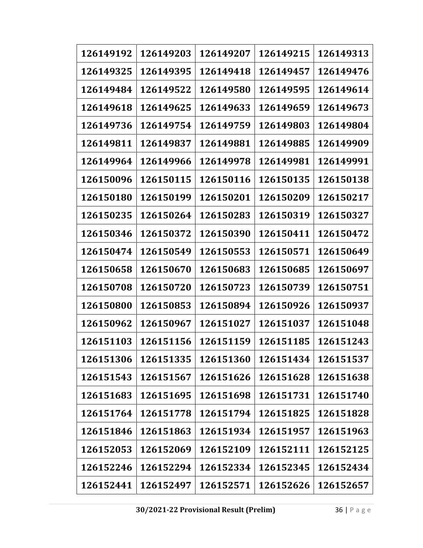| 126149192 | 126149203 | 126149207 | 126149215 | 126149313 |
|-----------|-----------|-----------|-----------|-----------|
| 126149325 | 126149395 | 126149418 | 126149457 | 126149476 |
| 126149484 | 126149522 | 126149580 | 126149595 | 126149614 |
| 126149618 | 126149625 | 126149633 | 126149659 | 126149673 |
| 126149736 | 126149754 | 126149759 | 126149803 | 126149804 |
| 126149811 | 126149837 | 126149881 | 126149885 | 126149909 |
| 126149964 | 126149966 | 126149978 | 126149981 | 126149991 |
| 126150096 | 126150115 | 126150116 | 126150135 | 126150138 |
| 126150180 | 126150199 | 126150201 | 126150209 | 126150217 |
| 126150235 | 126150264 | 126150283 | 126150319 | 126150327 |
| 126150346 | 126150372 | 126150390 | 126150411 | 126150472 |
| 126150474 | 126150549 | 126150553 | 126150571 | 126150649 |
| 126150658 | 126150670 | 126150683 | 126150685 | 126150697 |
| 126150708 | 126150720 | 126150723 | 126150739 | 126150751 |
| 126150800 | 126150853 | 126150894 | 126150926 | 126150937 |
| 126150962 | 126150967 | 126151027 | 126151037 | 126151048 |
| 126151103 | 126151156 | 126151159 | 126151185 | 126151243 |
| 126151306 | 126151335 | 126151360 | 126151434 | 126151537 |
| 126151543 | 126151567 | 126151626 | 126151628 | 126151638 |
| 126151683 | 126151695 | 126151698 | 126151731 | 126151740 |
| 126151764 | 126151778 | 126151794 | 126151825 | 126151828 |
| 126151846 | 126151863 | 126151934 | 126151957 | 126151963 |
| 126152053 | 126152069 | 126152109 | 126152111 | 126152125 |
| 126152246 | 126152294 | 126152334 | 126152345 | 126152434 |
| 126152441 | 126152497 | 126152571 | 126152626 | 126152657 |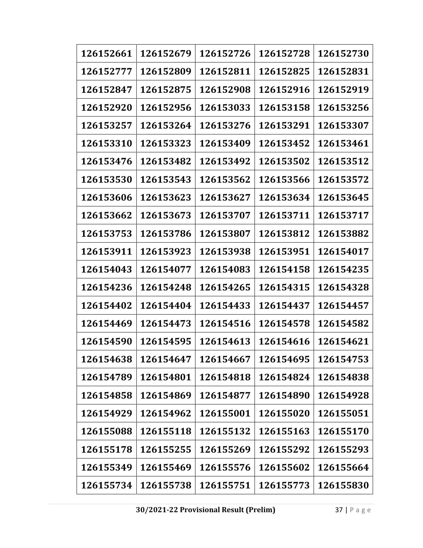| 126152661 | 126152679 | 126152726 | 126152728 | 126152730 |
|-----------|-----------|-----------|-----------|-----------|
| 126152777 | 126152809 | 126152811 | 126152825 | 126152831 |
| 126152847 | 126152875 | 126152908 | 126152916 | 126152919 |
| 126152920 | 126152956 | 126153033 | 126153158 | 126153256 |
| 126153257 | 126153264 | 126153276 | 126153291 | 126153307 |
| 126153310 | 126153323 | 126153409 | 126153452 | 126153461 |
| 126153476 | 126153482 | 126153492 | 126153502 | 126153512 |
| 126153530 | 126153543 | 126153562 | 126153566 | 126153572 |
| 126153606 | 126153623 | 126153627 | 126153634 | 126153645 |
| 126153662 | 126153673 | 126153707 | 126153711 | 126153717 |
| 126153753 | 126153786 | 126153807 | 126153812 | 126153882 |
| 126153911 | 126153923 | 126153938 | 126153951 | 126154017 |
| 126154043 | 126154077 | 126154083 | 126154158 | 126154235 |
| 126154236 | 126154248 | 126154265 | 126154315 | 126154328 |
| 126154402 | 126154404 | 126154433 | 126154437 | 126154457 |
| 126154469 | 126154473 | 126154516 | 126154578 | 126154582 |
| 126154590 | 126154595 | 126154613 | 126154616 | 126154621 |
| 126154638 | 126154647 | 126154667 | 126154695 | 126154753 |
| 126154789 | 126154801 | 126154818 | 126154824 | 126154838 |
| 126154858 | 126154869 | 126154877 | 126154890 | 126154928 |
| 126154929 | 126154962 | 126155001 | 126155020 | 126155051 |
| 126155088 | 126155118 | 126155132 | 126155163 | 126155170 |
| 126155178 | 126155255 | 126155269 | 126155292 | 126155293 |
| 126155349 | 126155469 | 126155576 | 126155602 | 126155664 |
| 126155734 | 126155738 | 126155751 | 126155773 | 126155830 |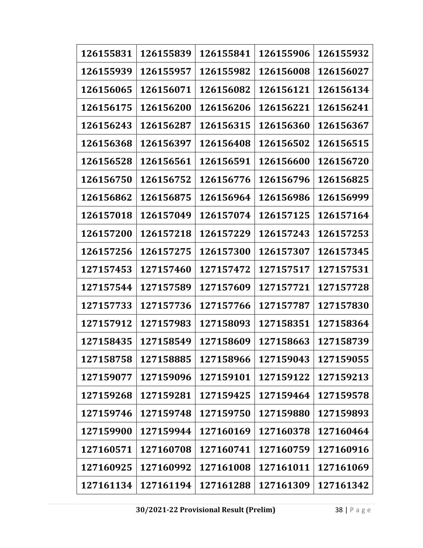| 126155831 | 126155839 | 126155841 | 126155906 | 126155932 |
|-----------|-----------|-----------|-----------|-----------|
| 126155939 | 126155957 | 126155982 | 126156008 | 126156027 |
| 126156065 | 126156071 | 126156082 | 126156121 | 126156134 |
| 126156175 | 126156200 | 126156206 | 126156221 | 126156241 |
| 126156243 | 126156287 | 126156315 | 126156360 | 126156367 |
| 126156368 | 126156397 | 126156408 | 126156502 | 126156515 |
| 126156528 | 126156561 | 126156591 | 126156600 | 126156720 |
| 126156750 | 126156752 | 126156776 | 126156796 | 126156825 |
| 126156862 | 126156875 | 126156964 | 126156986 | 126156999 |
| 126157018 | 126157049 | 126157074 | 126157125 | 126157164 |
| 126157200 | 126157218 | 126157229 | 126157243 | 126157253 |
| 126157256 | 126157275 | 126157300 | 126157307 | 126157345 |
| 127157453 | 127157460 | 127157472 | 127157517 | 127157531 |
| 127157544 | 127157589 | 127157609 | 127157721 | 127157728 |
| 127157733 | 127157736 | 127157766 | 127157787 | 127157830 |
| 127157912 | 127157983 | 127158093 | 127158351 | 127158364 |
| 127158435 | 127158549 | 127158609 | 127158663 | 127158739 |
| 127158758 | 127158885 | 127158966 | 127159043 | 127159055 |
| 127159077 | 127159096 | 127159101 | 127159122 | 127159213 |
| 127159268 | 127159281 | 127159425 | 127159464 | 127159578 |
| 127159746 | 127159748 | 127159750 | 127159880 | 127159893 |
| 127159900 | 127159944 | 127160169 | 127160378 | 127160464 |
| 127160571 | 127160708 | 127160741 | 127160759 | 127160916 |
| 127160925 | 127160992 | 127161008 | 127161011 | 127161069 |
| 127161134 | 127161194 | 127161288 | 127161309 | 127161342 |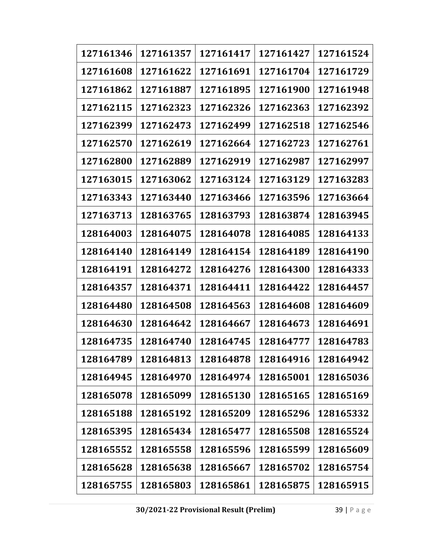| 127161346 | 127161357 | 127161417 | 127161427 | 127161524 |
|-----------|-----------|-----------|-----------|-----------|
| 127161608 | 127161622 | 127161691 | 127161704 | 127161729 |
| 127161862 | 127161887 | 127161895 | 127161900 | 127161948 |
| 127162115 | 127162323 | 127162326 | 127162363 | 127162392 |
| 127162399 | 127162473 | 127162499 | 127162518 | 127162546 |
| 127162570 | 127162619 | 127162664 | 127162723 | 127162761 |
| 127162800 | 127162889 | 127162919 | 127162987 | 127162997 |
| 127163015 | 127163062 | 127163124 | 127163129 | 127163283 |
| 127163343 | 127163440 | 127163466 | 127163596 | 127163664 |
| 127163713 | 128163765 | 128163793 | 128163874 | 128163945 |
| 128164003 | 128164075 | 128164078 | 128164085 | 128164133 |
| 128164140 | 128164149 | 128164154 | 128164189 | 128164190 |
| 128164191 | 128164272 | 128164276 | 128164300 | 128164333 |
| 128164357 | 128164371 | 128164411 | 128164422 | 128164457 |
| 128164480 | 128164508 | 128164563 | 128164608 | 128164609 |
| 128164630 | 128164642 | 128164667 | 128164673 | 128164691 |
| 128164735 | 128164740 | 128164745 | 128164777 | 128164783 |
| 128164789 | 128164813 | 128164878 | 128164916 | 128164942 |
| 128164945 | 128164970 | 128164974 | 128165001 | 128165036 |
| 128165078 | 128165099 | 128165130 | 128165165 | 128165169 |
| 128165188 | 128165192 | 128165209 | 128165296 | 128165332 |
| 128165395 | 128165434 | 128165477 | 128165508 | 128165524 |
| 128165552 | 128165558 | 128165596 | 128165599 | 128165609 |
| 128165628 | 128165638 | 128165667 | 128165702 | 128165754 |
| 128165755 | 128165803 | 128165861 | 128165875 | 128165915 |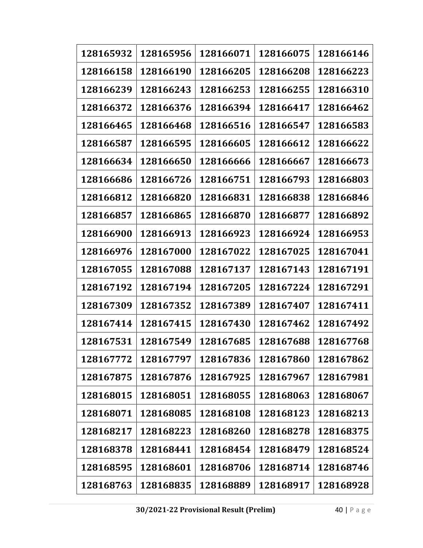| 128165932 | 128165956 | 128166071 | 128166075 | 128166146 |
|-----------|-----------|-----------|-----------|-----------|
| 128166158 | 128166190 | 128166205 | 128166208 | 128166223 |
| 128166239 | 128166243 | 128166253 | 128166255 | 128166310 |
| 128166372 | 128166376 | 128166394 | 128166417 | 128166462 |
| 128166465 | 128166468 | 128166516 | 128166547 | 128166583 |
| 128166587 | 128166595 | 128166605 | 128166612 | 128166622 |
| 128166634 | 128166650 | 128166666 | 128166667 | 128166673 |
| 128166686 | 128166726 | 128166751 | 128166793 | 128166803 |
| 128166812 | 128166820 | 128166831 | 128166838 | 128166846 |
| 128166857 | 128166865 | 128166870 | 128166877 | 128166892 |
| 128166900 | 128166913 | 128166923 | 128166924 | 128166953 |
| 128166976 | 128167000 | 128167022 | 128167025 | 128167041 |
| 128167055 | 128167088 | 128167137 | 128167143 | 128167191 |
| 128167192 | 128167194 | 128167205 | 128167224 | 128167291 |
| 128167309 | 128167352 | 128167389 | 128167407 | 128167411 |
| 128167414 | 128167415 | 128167430 | 128167462 | 128167492 |
| 128167531 | 128167549 | 128167685 | 128167688 | 128167768 |
| 128167772 | 128167797 | 128167836 | 128167860 | 128167862 |
| 128167875 | 128167876 | 128167925 | 128167967 | 128167981 |
| 128168015 | 128168051 | 128168055 | 128168063 | 128168067 |
| 128168071 | 128168085 | 128168108 | 128168123 | 128168213 |
| 128168217 | 128168223 | 128168260 | 128168278 | 128168375 |
| 128168378 | 128168441 | 128168454 | 128168479 | 128168524 |
| 128168595 | 128168601 | 128168706 | 128168714 | 128168746 |
| 128168763 | 128168835 | 128168889 | 128168917 | 128168928 |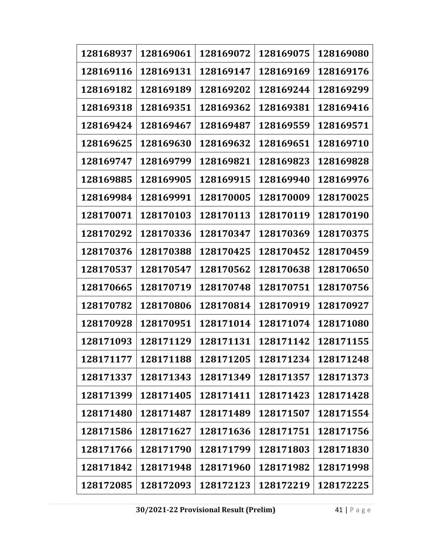| 128168937 | 128169061 | 128169072 | 128169075 | 128169080 |
|-----------|-----------|-----------|-----------|-----------|
| 128169116 | 128169131 | 128169147 | 128169169 | 128169176 |
| 128169182 | 128169189 | 128169202 | 128169244 | 128169299 |
| 128169318 | 128169351 | 128169362 | 128169381 | 128169416 |
| 128169424 | 128169467 | 128169487 | 128169559 | 128169571 |
| 128169625 | 128169630 | 128169632 | 128169651 | 128169710 |
| 128169747 | 128169799 | 128169821 | 128169823 | 128169828 |
| 128169885 | 128169905 | 128169915 | 128169940 | 128169976 |
| 128169984 | 128169991 | 128170005 | 128170009 | 128170025 |
| 128170071 | 128170103 | 128170113 | 128170119 | 128170190 |
| 128170292 | 128170336 | 128170347 | 128170369 | 128170375 |
| 128170376 | 128170388 | 128170425 | 128170452 | 128170459 |
| 128170537 | 128170547 | 128170562 | 128170638 | 128170650 |
| 128170665 | 128170719 | 128170748 | 128170751 | 128170756 |
| 128170782 | 128170806 | 128170814 | 128170919 | 128170927 |
| 128170928 | 128170951 | 128171014 | 128171074 | 128171080 |
| 128171093 | 128171129 | 128171131 | 128171142 | 128171155 |
| 128171177 | 128171188 | 128171205 | 128171234 | 128171248 |
| 128171337 | 128171343 | 128171349 | 128171357 | 128171373 |
| 128171399 | 128171405 | 128171411 | 128171423 | 128171428 |
| 128171480 | 128171487 | 128171489 | 128171507 | 128171554 |
| 128171586 | 128171627 | 128171636 | 128171751 | 128171756 |
| 128171766 | 128171790 | 128171799 | 128171803 | 128171830 |
| 128171842 | 128171948 | 128171960 | 128171982 | 128171998 |
| 128172085 | 128172093 | 128172123 | 128172219 | 128172225 |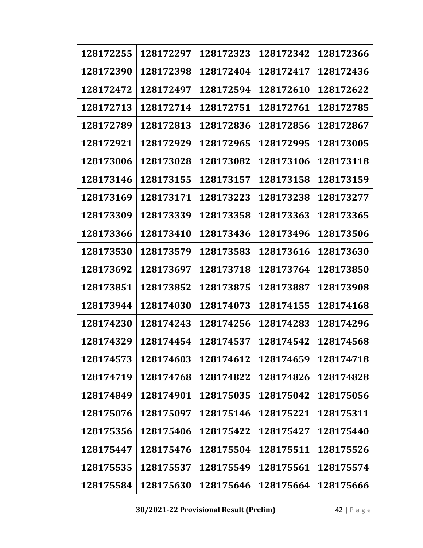| 128172255 | 128172297 | 128172323 | 128172342 | 128172366 |
|-----------|-----------|-----------|-----------|-----------|
| 128172390 | 128172398 | 128172404 | 128172417 | 128172436 |
| 128172472 | 128172497 | 128172594 | 128172610 | 128172622 |
| 128172713 | 128172714 | 128172751 | 128172761 | 128172785 |
| 128172789 | 128172813 | 128172836 | 128172856 | 128172867 |
| 128172921 | 128172929 | 128172965 | 128172995 | 128173005 |
| 128173006 | 128173028 | 128173082 | 128173106 | 128173118 |
| 128173146 | 128173155 | 128173157 | 128173158 | 128173159 |
| 128173169 | 128173171 | 128173223 | 128173238 | 128173277 |
| 128173309 | 128173339 | 128173358 | 128173363 | 128173365 |
| 128173366 | 128173410 | 128173436 | 128173496 | 128173506 |
| 128173530 | 128173579 | 128173583 | 128173616 | 128173630 |
| 128173692 | 128173697 | 128173718 | 128173764 | 128173850 |
| 128173851 | 128173852 | 128173875 | 128173887 | 128173908 |
| 128173944 | 128174030 | 128174073 | 128174155 | 128174168 |
| 128174230 | 128174243 | 128174256 | 128174283 | 128174296 |
| 128174329 | 128174454 | 128174537 | 128174542 | 128174568 |
| 128174573 | 128174603 | 128174612 | 128174659 | 128174718 |
| 128174719 | 128174768 | 128174822 | 128174826 | 128174828 |
| 128174849 | 128174901 | 128175035 | 128175042 | 128175056 |
| 128175076 | 128175097 | 128175146 | 128175221 | 128175311 |
| 128175356 | 128175406 | 128175422 | 128175427 | 128175440 |
| 128175447 | 128175476 | 128175504 | 128175511 | 128175526 |
| 128175535 | 128175537 | 128175549 | 128175561 | 128175574 |
| 128175584 | 128175630 | 128175646 | 128175664 | 128175666 |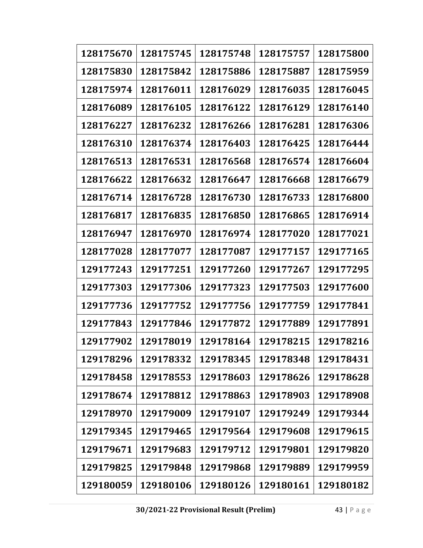| 128175670 | 128175745 | 128175748 | 128175757 | 128175800 |
|-----------|-----------|-----------|-----------|-----------|
| 128175830 | 128175842 | 128175886 | 128175887 | 128175959 |
| 128175974 | 128176011 | 128176029 | 128176035 | 128176045 |
| 128176089 | 128176105 | 128176122 | 128176129 | 128176140 |
| 128176227 | 128176232 | 128176266 | 128176281 | 128176306 |
| 128176310 | 128176374 | 128176403 | 128176425 | 128176444 |
| 128176513 | 128176531 | 128176568 | 128176574 | 128176604 |
| 128176622 | 128176632 | 128176647 | 128176668 | 128176679 |
| 128176714 | 128176728 | 128176730 | 128176733 | 128176800 |
| 128176817 | 128176835 | 128176850 | 128176865 | 128176914 |
| 128176947 | 128176970 | 128176974 | 128177020 | 128177021 |
| 128177028 | 128177077 | 128177087 | 129177157 | 129177165 |
| 129177243 | 129177251 | 129177260 | 129177267 | 129177295 |
| 129177303 | 129177306 | 129177323 | 129177503 | 129177600 |
| 129177736 | 129177752 | 129177756 | 129177759 | 129177841 |
| 129177843 | 129177846 | 129177872 | 129177889 | 129177891 |
| 129177902 | 129178019 | 129178164 | 129178215 | 129178216 |
| 129178296 | 129178332 | 129178345 | 129178348 | 129178431 |
| 129178458 | 129178553 | 129178603 | 129178626 | 129178628 |
| 129178674 | 129178812 | 129178863 | 129178903 | 129178908 |
| 129178970 | 129179009 | 129179107 | 129179249 | 129179344 |
| 129179345 | 129179465 | 129179564 | 129179608 | 129179615 |
| 129179671 | 129179683 | 129179712 | 129179801 | 129179820 |
| 129179825 | 129179848 | 129179868 | 129179889 | 129179959 |
| 129180059 | 129180106 | 129180126 | 129180161 | 129180182 |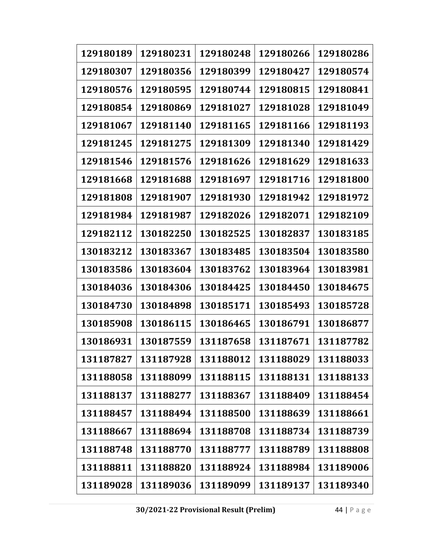| 129180189 | 129180231 | 129180248 | 129180266 | 129180286 |
|-----------|-----------|-----------|-----------|-----------|
| 129180307 | 129180356 | 129180399 | 129180427 | 129180574 |
| 129180576 | 129180595 | 129180744 | 129180815 | 129180841 |
| 129180854 | 129180869 | 129181027 | 129181028 | 129181049 |
| 129181067 | 129181140 | 129181165 | 129181166 | 129181193 |
| 129181245 | 129181275 | 129181309 | 129181340 | 129181429 |
| 129181546 | 129181576 | 129181626 | 129181629 | 129181633 |
| 129181668 | 129181688 | 129181697 | 129181716 | 129181800 |
| 129181808 | 129181907 | 129181930 | 129181942 | 129181972 |
| 129181984 | 129181987 | 129182026 | 129182071 | 129182109 |
| 129182112 | 130182250 | 130182525 | 130182837 | 130183185 |
| 130183212 | 130183367 | 130183485 | 130183504 | 130183580 |
| 130183586 | 130183604 | 130183762 | 130183964 | 130183981 |
| 130184036 | 130184306 | 130184425 | 130184450 | 130184675 |
| 130184730 | 130184898 | 130185171 | 130185493 | 130185728 |
| 130185908 | 130186115 | 130186465 | 130186791 | 130186877 |
| 130186931 | 130187559 | 131187658 | 131187671 | 131187782 |
| 131187827 | 131187928 | 131188012 | 131188029 | 131188033 |
| 131188058 | 131188099 | 131188115 | 131188131 | 131188133 |
| 131188137 | 131188277 | 131188367 | 131188409 | 131188454 |
| 131188457 | 131188494 | 131188500 | 131188639 | 131188661 |
| 131188667 | 131188694 | 131188708 | 131188734 | 131188739 |
| 131188748 | 131188770 | 131188777 | 131188789 | 131188808 |
| 131188811 | 131188820 | 131188924 | 131188984 | 131189006 |
| 131189028 | 131189036 | 131189099 | 131189137 | 131189340 |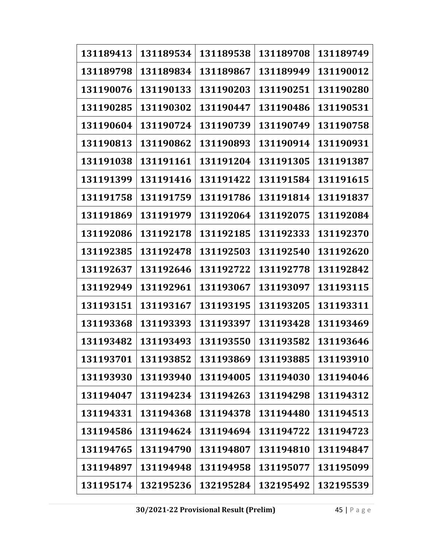| 131189413 | 131189534 | 131189538 | 131189708 | 131189749 |
|-----------|-----------|-----------|-----------|-----------|
| 131189798 | 131189834 | 131189867 | 131189949 | 131190012 |
| 131190076 | 131190133 | 131190203 | 131190251 | 131190280 |
| 131190285 | 131190302 | 131190447 | 131190486 | 131190531 |
| 131190604 | 131190724 | 131190739 | 131190749 | 131190758 |
| 131190813 | 131190862 | 131190893 | 131190914 | 131190931 |
| 131191038 | 131191161 | 131191204 | 131191305 | 131191387 |
| 131191399 | 131191416 | 131191422 | 131191584 | 131191615 |
| 131191758 | 131191759 | 131191786 | 131191814 | 131191837 |
| 131191869 | 131191979 | 131192064 | 131192075 | 131192084 |
| 131192086 | 131192178 | 131192185 | 131192333 | 131192370 |
| 131192385 | 131192478 | 131192503 | 131192540 | 131192620 |
| 131192637 | 131192646 | 131192722 | 131192778 | 131192842 |
| 131192949 | 131192961 | 131193067 | 131193097 | 131193115 |
| 131193151 | 131193167 | 131193195 | 131193205 | 131193311 |
| 131193368 | 131193393 | 131193397 | 131193428 | 131193469 |
| 131193482 | 131193493 | 131193550 | 131193582 | 131193646 |
| 131193701 | 131193852 | 131193869 | 131193885 | 131193910 |
| 131193930 | 131193940 | 131194005 | 131194030 | 131194046 |
| 131194047 | 131194234 | 131194263 | 131194298 | 131194312 |
| 131194331 | 131194368 | 131194378 | 131194480 | 131194513 |
| 131194586 | 131194624 | 131194694 | 131194722 | 131194723 |
| 131194765 | 131194790 | 131194807 | 131194810 | 131194847 |
| 131194897 | 131194948 | 131194958 | 131195077 | 131195099 |
| 131195174 | 132195236 | 132195284 | 132195492 | 132195539 |